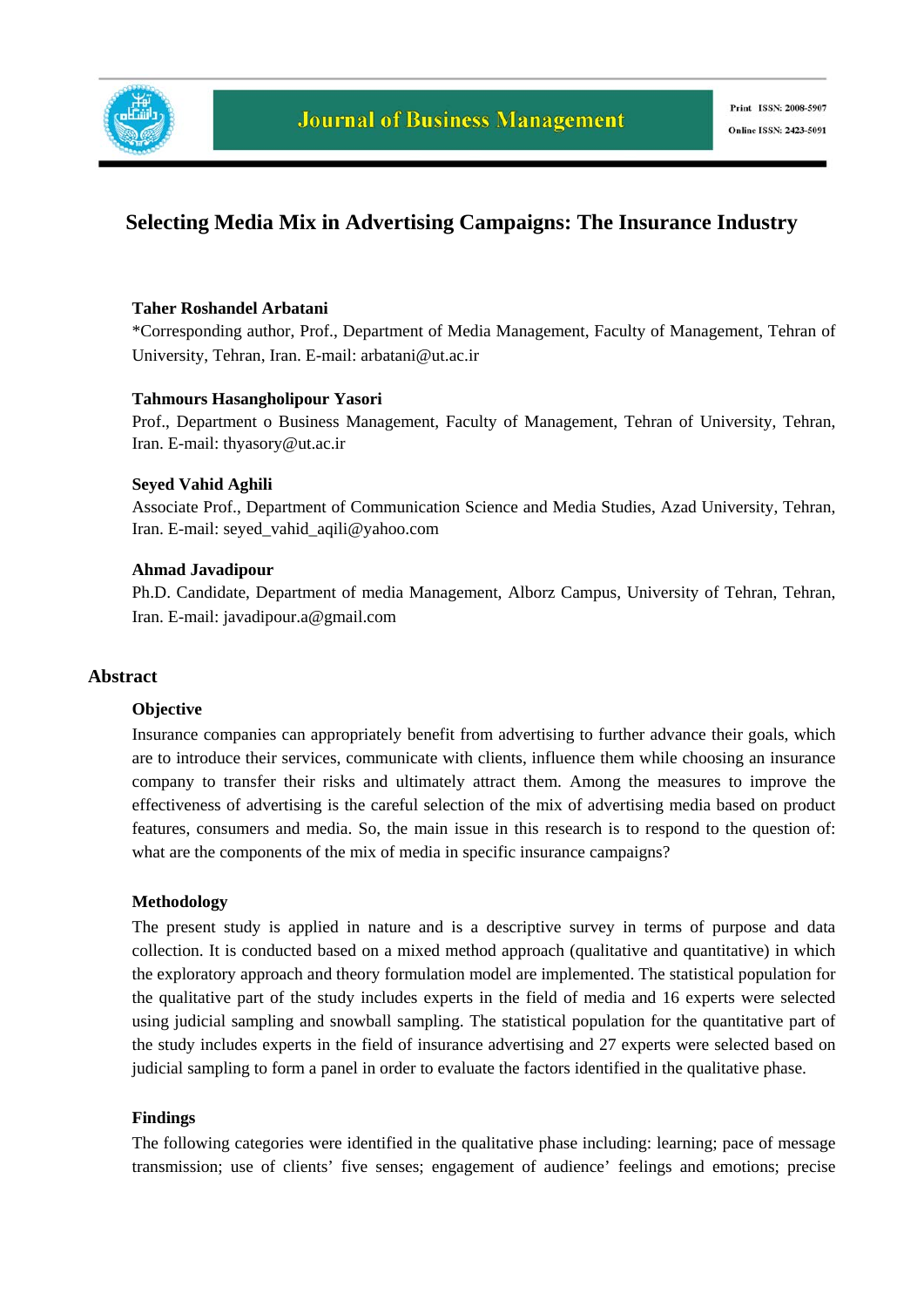

# **Selecting Media Mix in Advertising Campaigns: The Insurance Industry**

#### **Taher Roshandel Arbatani**

\*Corresponding author, Prof., Department of Media Management, Faculty of Management, Tehran of University, Tehran, Iran. E-mail: arbatani@ut.ac.ir

## **Tahmours Hasangholipour Yasori**

Prof., Department o Business Management, Faculty of Management, Tehran of University, Tehran, Iran. E-mail: thyasory@ut.ac.ir

## **Seyed Vahid Aghili**

Associate Prof., Department of Communication Science and Media Studies, Azad University, Tehran, Iran. E-mail: seyed\_vahid\_aqili@yahoo.com

## **Ahmad Javadipour**

Ph.D. Candidate, Department of media Management, Alborz Campus, University of Tehran, Tehran, Iran. E-mail: javadipour.a@gmail.com

## **Abstract**

#### **Objective**

Insurance companies can appropriately benefit from advertising to further advance their goals, which are to introduce their services, communicate with clients, influence them while choosing an insurance company to transfer their risks and ultimately attract them. Among the measures to improve the effectiveness of advertising is the careful selection of the mix of advertising media based on product features, consumers and media. So, the main issue in this research is to respond to the question of: what are the components of the mix of media in specific insurance campaigns?

#### **Methodology**

The present study is applied in nature and is a descriptive survey in terms of purpose and data collection. It is conducted based on a mixed method approach (qualitative and quantitative) in which the exploratory approach and theory formulation model are implemented. The statistical population for the qualitative part of the study includes experts in the field of media and 16 experts were selected using judicial sampling and snowball sampling. The statistical population for the quantitative part of the study includes experts in the field of insurance advertising and 27 experts were selected based on judicial sampling to form a panel in order to evaluate the factors identified in the qualitative phase.

#### **Findings**

The following categories were identified in the qualitative phase including: learning; pace of message transmission; use of clients' five senses; engagement of audience' feelings and emotions; precise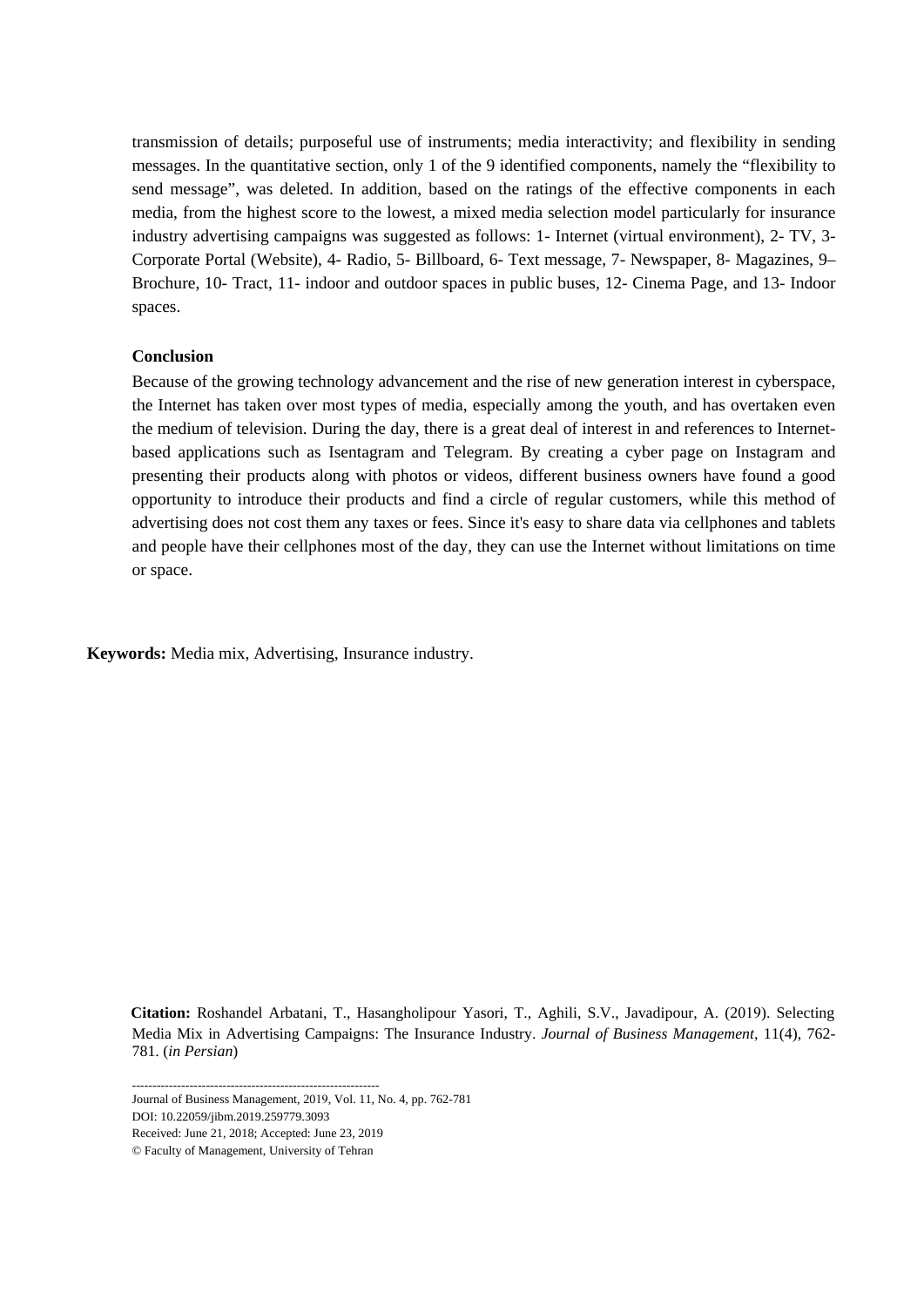transmission of details; purposeful use of instruments; media interactivity; and flexibility in sending messages. In the quantitative section, only 1 of the 9 identified components, namely the "flexibility to send message", was deleted. In addition, based on the ratings of the effective components in each media, from the highest score to the lowest, a mixed media selection model particularly for insurance industry advertising campaigns was suggested as follows: 1- Internet (virtual environment), 2- TV, 3- Corporate Portal (Website), 4- Radio, 5- Billboard, 6- Text message, 7- Newspaper, 8- Magazines, 9– Brochure, 10- Tract, 11- indoor and outdoor spaces in public buses, 12- Cinema Page, and 13- Indoor spaces.

#### **Conclusion**

Because of the growing technology advancement and the rise of new generation interest in cyberspace, the Internet has taken over most types of media, especially among the youth, and has overtaken even the medium of television. During the day, there is a great deal of interest in and references to Internetbased applications such as Isentagram and Telegram. By creating a cyber page on Instagram and presenting their products along with photos or videos, different business owners have found a good opportunity to introduce their products and find a circle of regular customers, while this method of advertising does not cost them any taxes or fees. Since it's easy to share data via cellphones and tablets and people have their cellphones most of the day, they can use the Internet without limitations on time or space.

**Keywords:** Media mix, Advertising, Insurance industry.

Media Mix in Advertising Campaigns: The Insurance Industry. *Journal of Business Management,* 11(4), 762- 781. (*in Persian*) **Citation:** Roshandel Arbatani, T., Hasangholipour Yasori, T., Aghili, S.V., Javadipour, A. (2019). Selecting

------------------------------------------------------------ Journal of Business Management, 2019, Vol. 11, No. 4, pp. 762-781 DOI: 10.22059/jibm.2019.259779.3093

Received: June 21, 2018; Accepted: June 23, 2019

© Faculty of Management, University of Tehran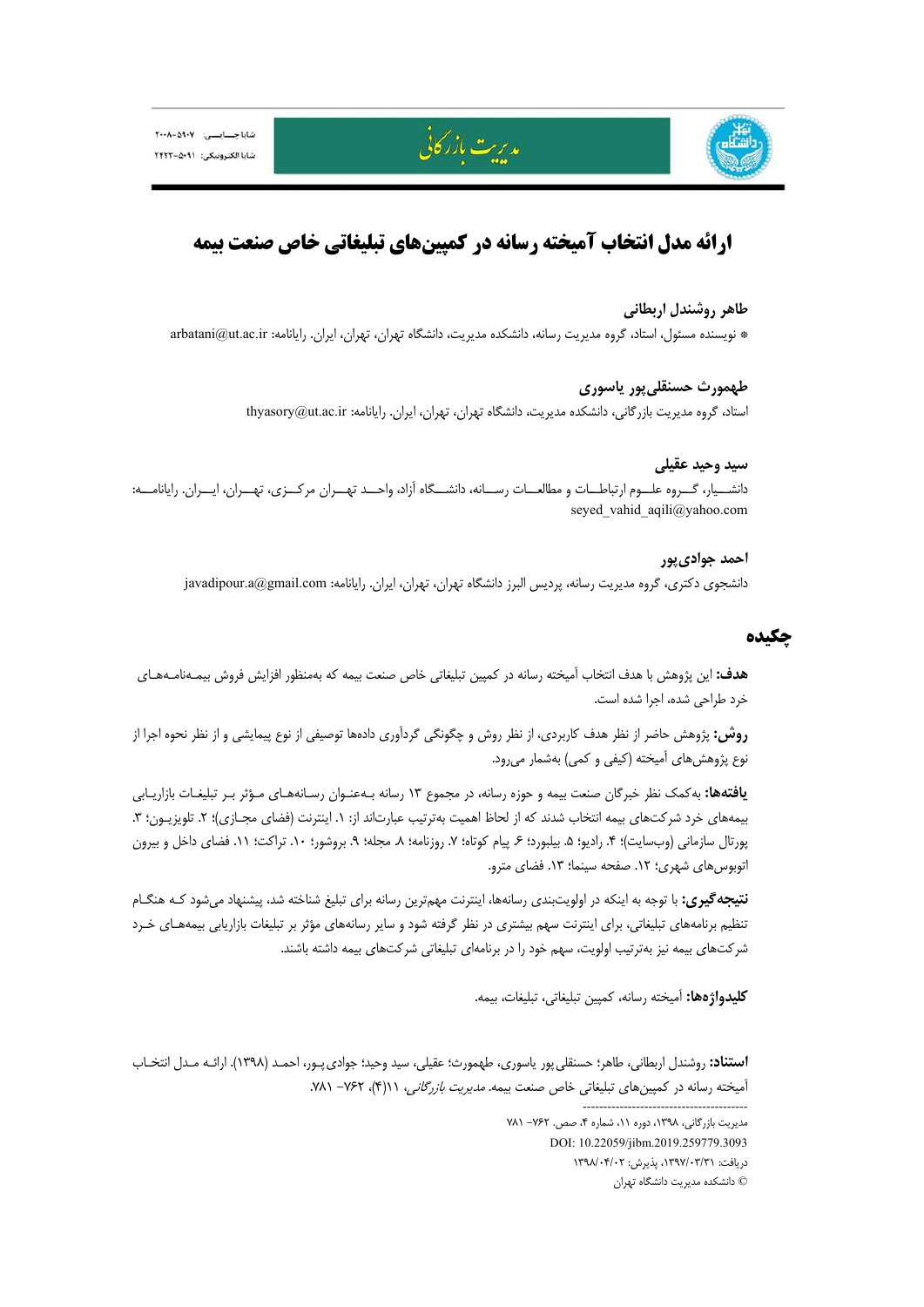



# **ارائه مدل انتخاب آميخته رسانه در كمپينهاي تبليغاتي خاص صنعت بيمه**

مدريت بازركاني

## **طاهر روشندل اربطاني**

\* نويسنده مسئول، استاد، گروه مديريت رسانه، دانشكده مديريت، دانشگاه تهران، تهران، ايران. رايانامه: ir.ac.ut@arbatani

# **طهمورث حسنقليپور ياسوري**

استاد، گروه مديريت بازرگاني، دانشكده مديريت، دانشگاه تهران، تهران، ايران. رايانامه: thyasory@ut.ac.ir

## **سيد وحيد عقيلي**

دانشــيار، گــروه علــوم ارتباطــات و مطالعــات رســانه، دانشــگاه آزاد، واحــد تهــران مركــزي، تهــران، ايــران. رايانامــه: seyed vahid aqili@yahoo.com

# **احمد جواديپور**

دانشجوي دكتري، گروه مديريت رسانه، پرديس البرز دانشگاه تهران، تهران، ايران. رايانامه: com.gmail@a.javadipour

## **چكيده**

**هدف:** اين پژوهش با هدف انتخاب آميخته رسانه در كمپين تبليغاتي خاص صنعت بيمه كه بهمنظور افزايش فروش بيمـهنامـههـاي خرد طراحي شده، اجرا شده است.

**روش:** پژوهش حاضر از نظر هدف كاربردي، از نظر روش و چگونگي گردآوري دادهها توصيفي از نوع پيمايشي و از نظر نحوه اجرا از نوع پژوهشهاي آميخته (كيفي و كمي) بهشمار ميرود.

**يافتهها:** بهكمك نظر خبرگان صنعت بيمه و حوزه رسانه، در مجموع 13 رسانه بـهعنـوان رسـانههـاي مـؤثر بـر تبليغـات بازاريـابي بيمههاي خرد شركتهاي بيمه انتخاب شدند كه از لحاظ اهميت بهترتيب عبارتاند از: ١. اينترنت (فضاي مجـازي)؛ ٢. تلويزيـون؛ ٣. پورتال سازماني (وبسايت)؛ ۴. راديو؛ ۵. بيلبورد؛ ۶. پيام كوتاه؛ ۷. روزنامه؛ ۸. مجله؛ ۹. بروشور؛ ۱۰. تراكت؛ ۱۱. فضاي داخل و بيرون اتوبوس هاي شهري؛ ١٢. صفحه سينما؛ ١٣. فضاي مترو.

**نتيجهگيري:** با توجه به اينكه در اولويتبندي رسانهها، اينترنت مهمترين رسانه براي تبليغ شناخته شد، پيشنهاد ميشود كـه هنگـام تنظيم برنامههاي تبليغاتي، براي اينترنت سهم بيشتري در نظر گرفته شود و ساير رسانههاي مؤثر بر تبليغات بازاريابي بيمههـاي خـرد شركتهاي بيمه نيز بهترتيب اولويت، سهم خود را در برنامهاي تبليغاتي شركتهاي بيمه داشته باشند.

**كليدواژهها:** آميخته رسانه، كمپين تبليغاتي، تبليغات، بيمه.

**استناد:** روشندل اربطاني، طاهر؛ حسنقليپور ياسوري، طهمورث؛ عقيلي، سيد وحيد؛ جواديپـور، احمـد (1398). ارائـه مـدل انتخـاب آميخته رسانه در كمپين هاي تبليغاتي خاص صنعت بيمه. *مديريت بازرگاني، ١١(*۴)، ٧۶۲- ٧٨١.

> مديريت بازرگاني، ١٣٩٨، دوره ١١، شماره ۴، صص. ٧۶٢- ٧٨١ DOI: 10.22059/jibm.2019.259779.3093 دريافت: ،1397/03/31 پذيرش: 1398/04/02 © دانشكده مديريت دانشگاه تهران

----------------------------------------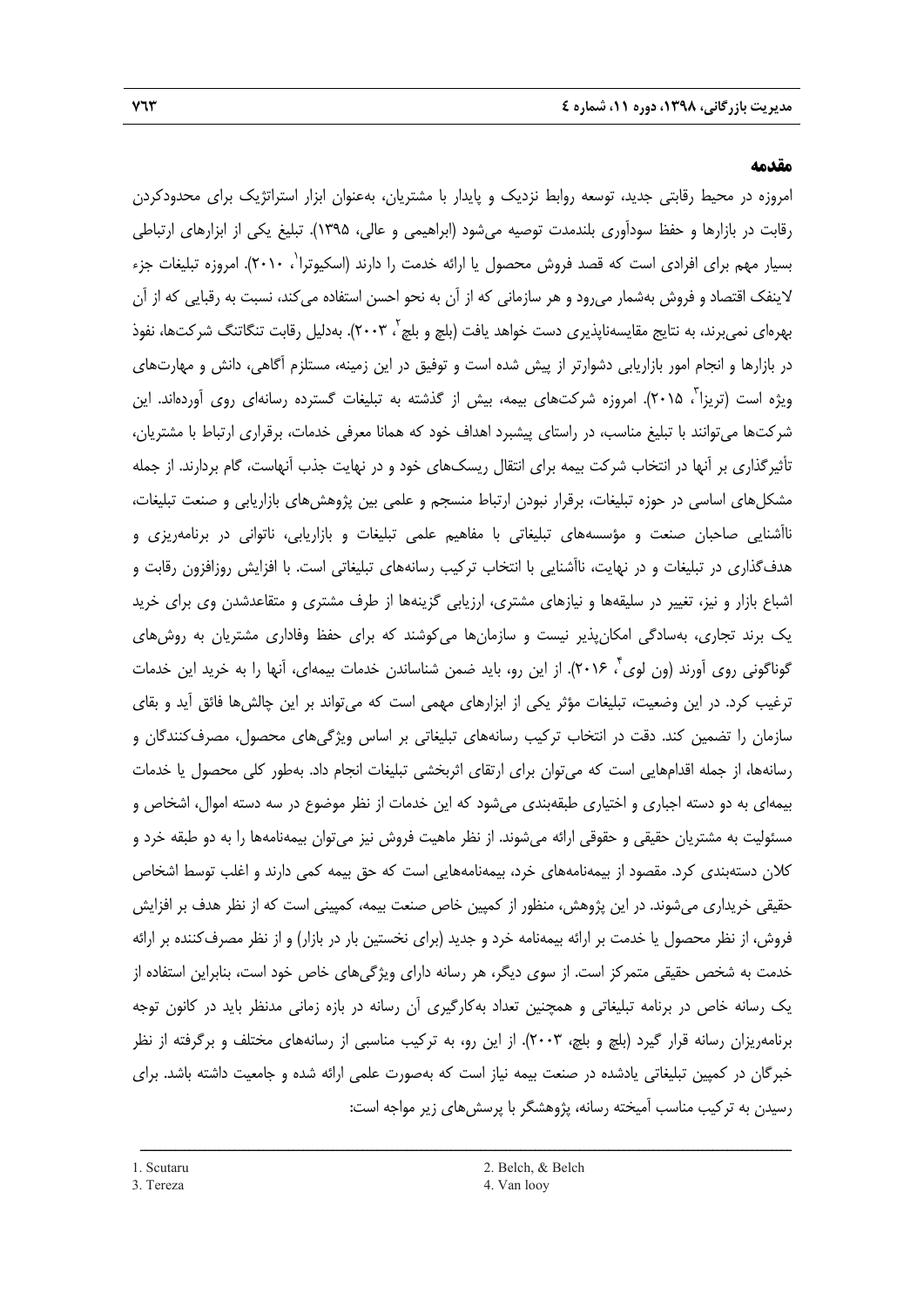#### **مقدمه**

امروزه در محيط رقابتي جديد، توسعه روابط نزديك و پايدار با مشتريان، بهعنوان ابزار استراتژيك براي محدودكردن رقابت در بازارها و حفظ سودآوري بلندمدت توصيه ميشود (ابراهيمي و عالي، 1395). تبليغ يكي از ابزارهاي ارتباطي 1 بسيار مهم براي افرادي است كه قصد فروش محصول يا ارائه خدمت را دارند (اسكيوترا ، 2010). امروزه تبليغات جزء لاينفك اقتصاد و فروش بهشمار ميرود و هر سازماني كه از آن به نحو احسن استفاده ميكند، نسبت به رقبايي كه از آن یهرهای نمیبرند، به نتایج مقایسهناپذیری دست خواهد یافت (بلچ و بلچ<sup>۲</sup>، ۲۰۰۳). بهدلیل رقابت تنگاتنگ شرکتها، نفوذ در بازارها و انجام امور بازاريابي دشوارتر از پيش شده است و توفيق در اين زمينه، مستلزم آگاهي، دانش و مهارتهاي ويژه است (تريزا ، ٢٠١۵). امروزه شركتهاي بيمه، بيش از گذشته به تبليغات گسترده رسانهاي روي آوردهاند. اين شركتها ميتوانند با تبليغ مناسب، در راستاي پيشبرد اهداف خود كه همانا معرفي خدمات، برقراري ارتباط با مشتريان، تأثيرگذاري بر آنها در انتخاب شركت بيمه براي انتقال ريسكهاي خود و در نهايت جذب آنهاست، گام بردارند. از جمله مشكلهاي اساسي در حوزه تبليغات، برقرار نبودن ارتباط منسجم و علمي بين پژوهشهاي بازاريابي و صنعت تبليغات، ناآشنايي صاحبان صنعت و مؤسسههاي تبليغاتي با مفاهيم علمي تبليغات و بازاريابي، ناتواني در برنامهريزي و هدفگذاري در تبليغات و در نهايت، ناآشنايي با انتخاب تركيب رسانههاي تبليغاتي است. با افزايش روزافزون رقابت و اشباع بازار و نيز، تغيير در سليقهها و نيازهاي مشتري، ارزيابي گزينهها از طرف مشتري و متقاعدشدن وي براي خريد يك برند تجاري، بهسادگي امكانپذير نيست و سازمانها ميكوشند كه براي حفظ وفاداري مشتريان به روشهاي گوناگوني روي اّورند (ون لوي'، ۲۰۱۶). از اين رو، بايد ضمن شناساندن خدمات بيمهاي، اّنها را به خريد اين خدمات ترغيب كرد. در اين وضعيت، تبليغات مؤثر يكي از ابزارهاي مهمي است كه ميتواند بر اين چالشها فائق آيد و بقاي سازمان را تضمين كند. دقت در انتخاب تركيب رسانههاي تبليغاتي بر اساس ويژگيهاي محصول، مصرفكنندگان و رسانهها، از جمله اقدامهايي است كه ميتوان براي ارتقاي اثربخشي تبليغات انجام داد. بهطور كلي محصول يا خدمات بيمهاي به دو دسته اجباري و اختياري طبقهبندي ميشود كه اين خدمات از نظر موضوع در سه دسته اموال، اشخاص و مسئوليت به مشتريان حقيقي و حقوقي ارائه ميشوند. از نظر ماهيت فروش نيز ميتوان بيمهنامهها را به دو طبقه خرد و كلان دستهبندي كرد. مقصود از بيمهنامههاي خرد، بيمهنامههايي است كه حق بيمه كمي دارند و اغلب توسط اشخاص حقيقي خريداري ميشوند. در اين پژوهش، منظور از كمپين خاص صنعت بيمه، كمپيني است كه از نظر هدف بر افزايش فروش، از نظر محصول يا خدمت بر ارائه بيمهنامه خرد و جديد (براي نخستين بار در بازار) و از نظر مصرفكننده بر ارائه خدمت به شخص حقيقي متمركز است. از سوي ديگر، هر رسانه داراي ويژگيهاي خاص خود است، بنابراين استفاده از يك رسانه خاص در برنامه تبليغاتي و همچنين تعداد بهكارگيري آن رسانه در بازه زماني مدنظر بايد در كانون توجه برنامهريزان رسانه قرار گيرد (بلچ و بلچ، 2003). از اين رو، به تركيب مناسبي از رسانههاي مختلف و برگرفته از نظر خبرگان در كمپين تبليغاتي يادشده در صنعت بيمه نياز است كه بهصورت علمي ارائه شده و جامعيت داشته باشد. براي رسيدن به تركيب مناسب آميخته رسانه، پژوهشگر با پرسشهاي زير مواجه است: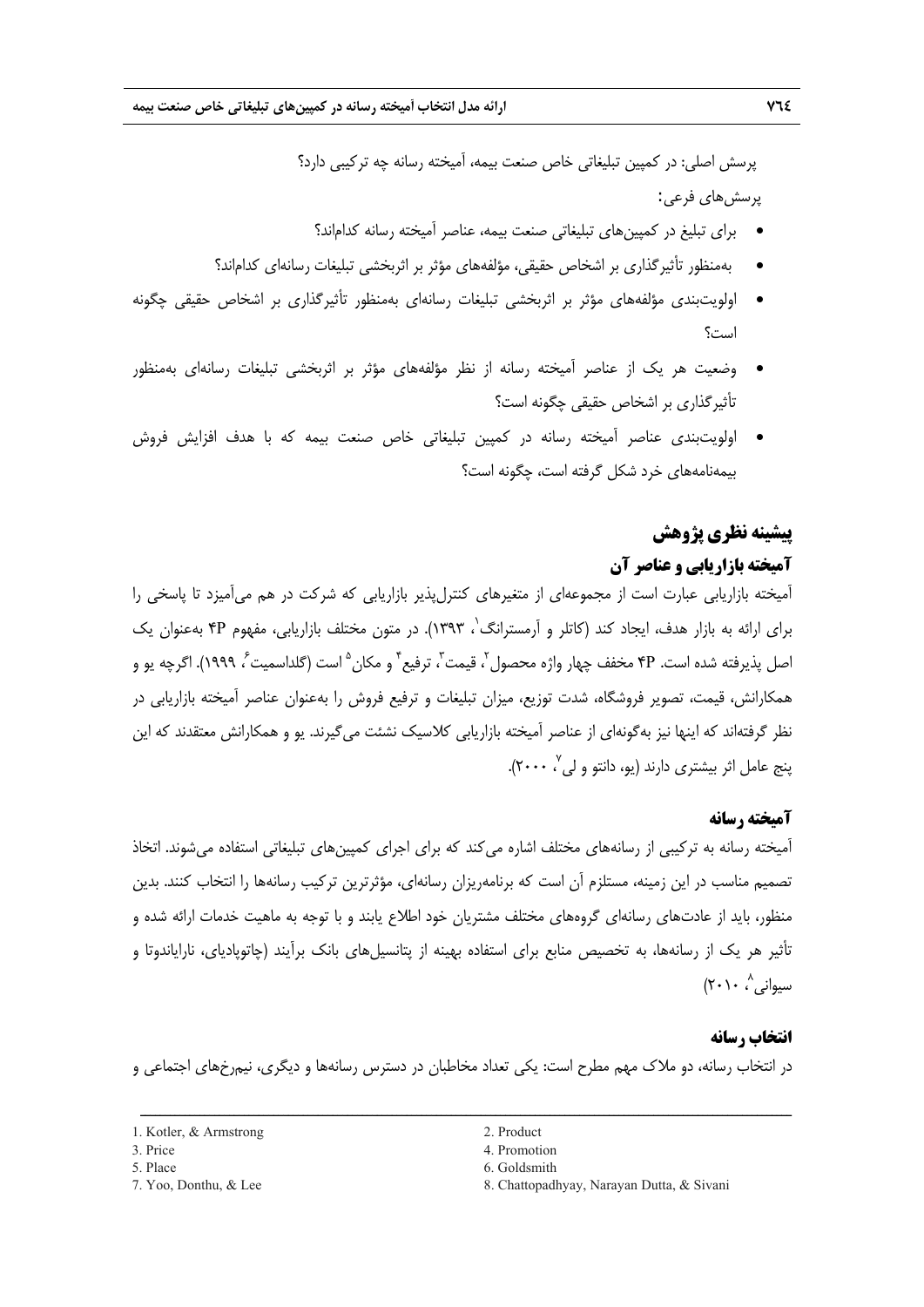پرسش اصلي: در كمپين تبليغاتي خاص صنعت بيمه، آميخته رسانه چه تركيبي دارد؟ پرسشهاي فرعي:

- براي تبليغ در كمپينهاي تبليغاتي صنعت بيمه، عناصر آميخته رسانه كداماند؟
- بهمنظور تأثيرگذاري بر اشخاص حقيقي، مؤلفههاي مؤثر بر اثربخشي تبليغات رسانهاي كداماند؟
- اولويتبندي مؤلفههاي مؤثر بر اثربخشي تبليغات رسانهاي بهمنظور تأثيرگذاري بر اشخاص حقيقي چگونه است؟
- وضعيت هر يك از عناصر آميخته رسانه از نظر مؤلفههاي مؤثر بر اثربخشي تبليغات رسانهاي بهمنظور تأثيرگذاري بر اشخاص حقيقي چگونه است؟
- اولويتبندي عناصر آميخته رسانه در كمپين تبليغاتي خاص صنعت بيمه كه با هدف افزايش فروش بيمهنامههاي خرد شكل گرفته است، چگونه است؟

# **پيشينه نظري پژوهش**

## **آميخته بازاريابي و عناصر آن**

آميخته بازاريابي عبارت است از مجموعهاي از متغيرهاي كنترلپذير بازاريابي كه شركت در هم ميآميزد تا پاسخي را براي ارائه به بازار هدف، ايجاد كند (كاتلر و آرمسترانگ<sup>٬</sup>، ۱۳۹۳). در متون مختلف بازاريابي، مفهوم ۴P بهعنوان يک ّصل پذيرفته شده است. ۴P مخفف چهار واژه محصول <sup>7</sup>، قيمت ّ، ترفيع <sup>۴</sup> و مكان <sup>۵</sup> است (گلداسميت ً، ۱۹۹۹). اگرچه يو و همكارانش، قيمت، تصوير فروشگاه، شدت توزيع، ميزان تبليغات و ترفيع فروش را بهعنوان عناصر آميخته بازاريابي در نظر گرفتهاند كه اينها نيز بهگونهاي از عناصر آميخته بازاريابي كلاسيك نشئت ميگيرند. يو و همكارانش معتقدند كه اين ېنج عامل اثر بيشترى دارند (يو، دانتو و لي<sup>۷</sup>، ۲۰۰۰).

### **آميخته رسانه**

آميخته رسانه به تركيبي از رسانههاي مختلف اشاره مي كند كه براي اجراي كمپينهاي تبليغاتي استفاده مي شوند. اتخاذ تصميم مناسب در اين زمينه، مستلزم آن است كه برنامهريزان رسانهاي، مؤثرترين تركيب رسانهها را انتخاب كنند. بدين منظور، بايد از عادتهاي رسانهاي گروههاي مختلف مشتريان خود اطلاع يابند و با توجه به ماهيت خدمات ارائه شده و تأثير هر يك از رسانهها، به تخصيص منابع براي استفاده بهينه از پتانسيلهاي بانك برآيند (چاتوپادياي، ناراياندوتا و  $(\mathsf{Y} \cdot \mathsf{Y} \cdot \mathsf{A})$ سواني

#### **انتخاب رسانه**

در انتخاب رسانه، دو ملاك مهم مطرح است: يكي تعداد مخاطبان در دسترس رسانهها و ديگري، نيمرخهاي اجتماعي و

- 
- 
- 

<sup>1.</sup> Kotler, & Armstrong 2. Product

<sup>3.</sup> Price 4. Promotion

<sup>5.</sup> Place 6. Goldsmith

<sup>7.</sup> Yoo, Donthu, & Lee 8. Chattopadhyay, Narayan Dutta, & Sivani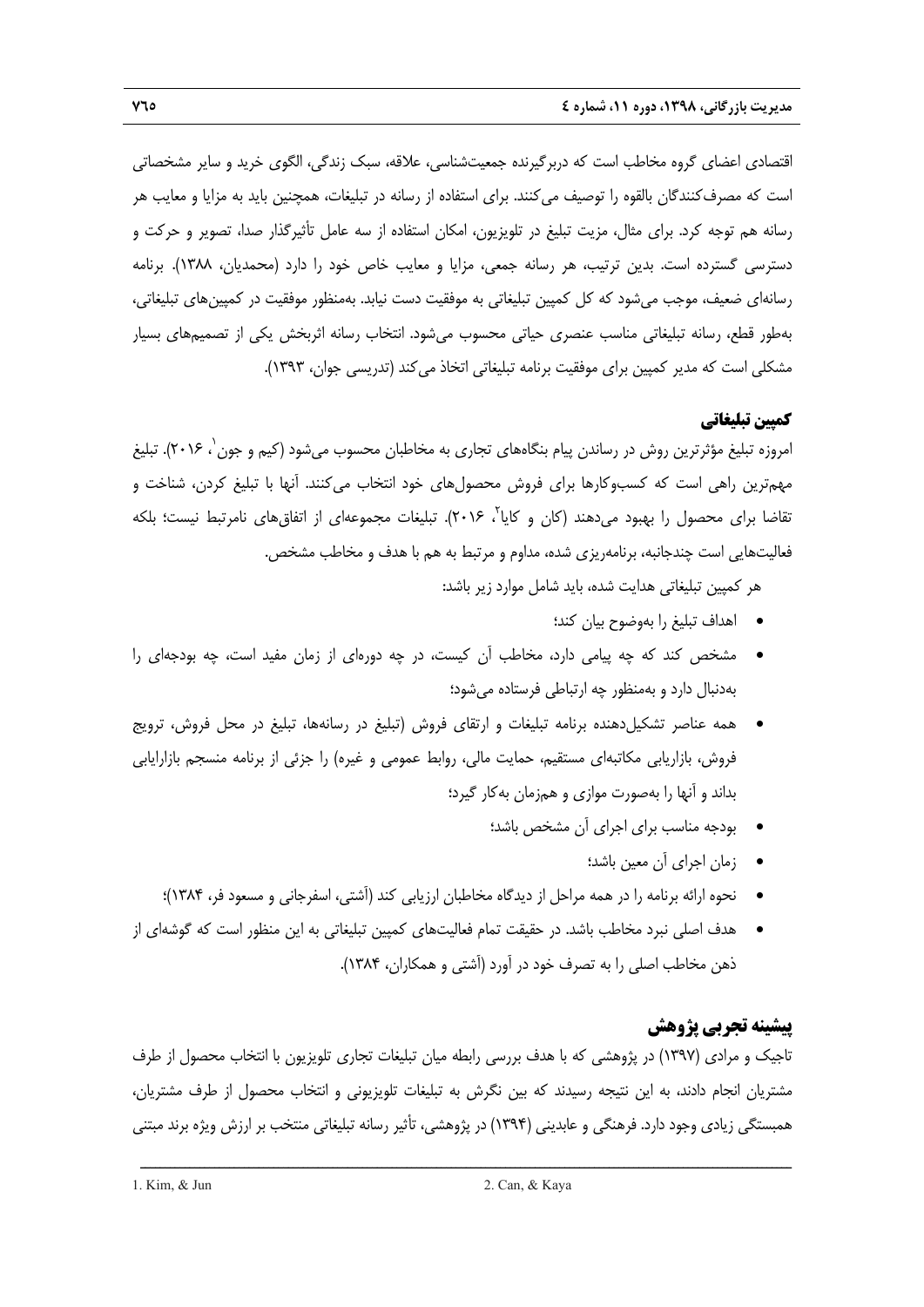اقتصادي اعضاي گروه مخاطب است كه دربرگيرنده جمعيتشناسي، علاقه، سبك زندگي، الگوي خريد و ساير مشخصاتي است كه مصرفكنندگان بالقوه را توصيف ميكنند. براي استفاده از رسانه در تبليغات، همچنين بايد به مزايا و معايب هر رسانه هم توجه كرد. براي مثال، مزيت تبليغ در تلويزيون، امكان استفاده از سه عامل تأثيرگذار صدا، تصوير و حركت و دسترسي گسترده است. بدين ترتيب، هر رسانه جمعي، مزايا و معايب خاص خود را دارد (محمديان، 1388). برنامه رسانهاي ضعيف، موجب ميشود كه كل كمپين تبليغاتي به موفقيت دست نيابد. بهمنظور موفقيت در كمپينهاي تبليغاتي، بهطور قطع، رسانه تبليغاتي مناسب عنصري حياتي محسوب ميشود. انتخاب رسانه اثربخش يكي از تصميمهاي بسيار مشكلي است كه مدير كمپين براي موفقيت برنامه تبليغاتي اتخاذ ميكند (تدريسي جوان، 1393).

# **كمپين تبليغاتي**

امروزه تبليغ مؤثرترين روش در رساندن پيام بنگاههاي تجاري به مخاطبان محسوب ميشود (كيم و جون<sup>י</sup>، ۲۰۱۶). تبليغ مهمترين راهي است كه كسبوكارها براي فروش محصولهاي خود انتخاب ميكنند. آنها با تبليغ كردن، شناخت و تقاضا براي محصول را بهبود مي دهند (كان و كايا<sup>ت</sup>، ٢٠١۶). تبليغات مجموعهاي از اتفاق هاي نامرتبط نيست؛ بلكه فعاليتهايي است چندجانبه، برنامهريزي شده، مداوم و مرتبط به هم با هدف و مخاطب مشخص.

هر كمپين تبليغاتي هدايت شده، بايد شامل موارد زير باشد:

- اهداف تبليغ را بهوضوح بيان كند؛
- مشخص كند كه چه پيامي دارد، مخاطب آن كيست، در چه دورهاي از زمان مفيد است، چه بودجهاي را بهدنبال دارد و بهمنظور چه ارتباطي فرستاده ميشود؛
- همه عناصر تشكيلدهنده برنامه تبليغات و ارتقاي فروش (تبليغ در رسانهها، تبليغ در محل فروش، ترويج فروش، بازاريابي مكاتبهاي مستقيم، حمايت مالي، روابط عمومي و غيره) را جزئي از برنامه منسجم بازارايابي بداند و آنها را بهصورت موازي و همزمان بهكار گيرد؛
	- بودجه مناسب براي اجراي آن مشخص باشد؛
		- زمان اجراي آن معين باشد؛
	- نحوه ارائه برنامه را در همه مراحل از ديدگاه مخاطبان ارزيابي كند (آشتي، اسفرجاني و مسعود فر، 1384)؛
- هدف اصلي نبرد مخاطب باشد. در حقيقت تمام فعاليتهاي كمپين تبليغاتي به اين منظور است كه گوشهاي از ذهن مخاطب اصلي را به تصرف خود در آورد (آشتي و همكاران، 1384).

# **پيشينه تجربي پژوهش**

تاجيك و مرادي (1397) در پژوهشي كه با هدف بررسي رابطه ميان تبليغات تجاري تلويزيون با انتخاب محصول از طرف مشتريان انجام دادند، به اين نتيجه رسيدند كه بين نگرش به تبليغات تلويزيوني و انتخاب محصول از طرف مشتريان، همبستگي زيادي وجود دارد. فرهنگي و عابديني (1394) در پژوهشي، تأثير رسانه تبليغاتي منتخب بر ارزش ويژه برند مبتني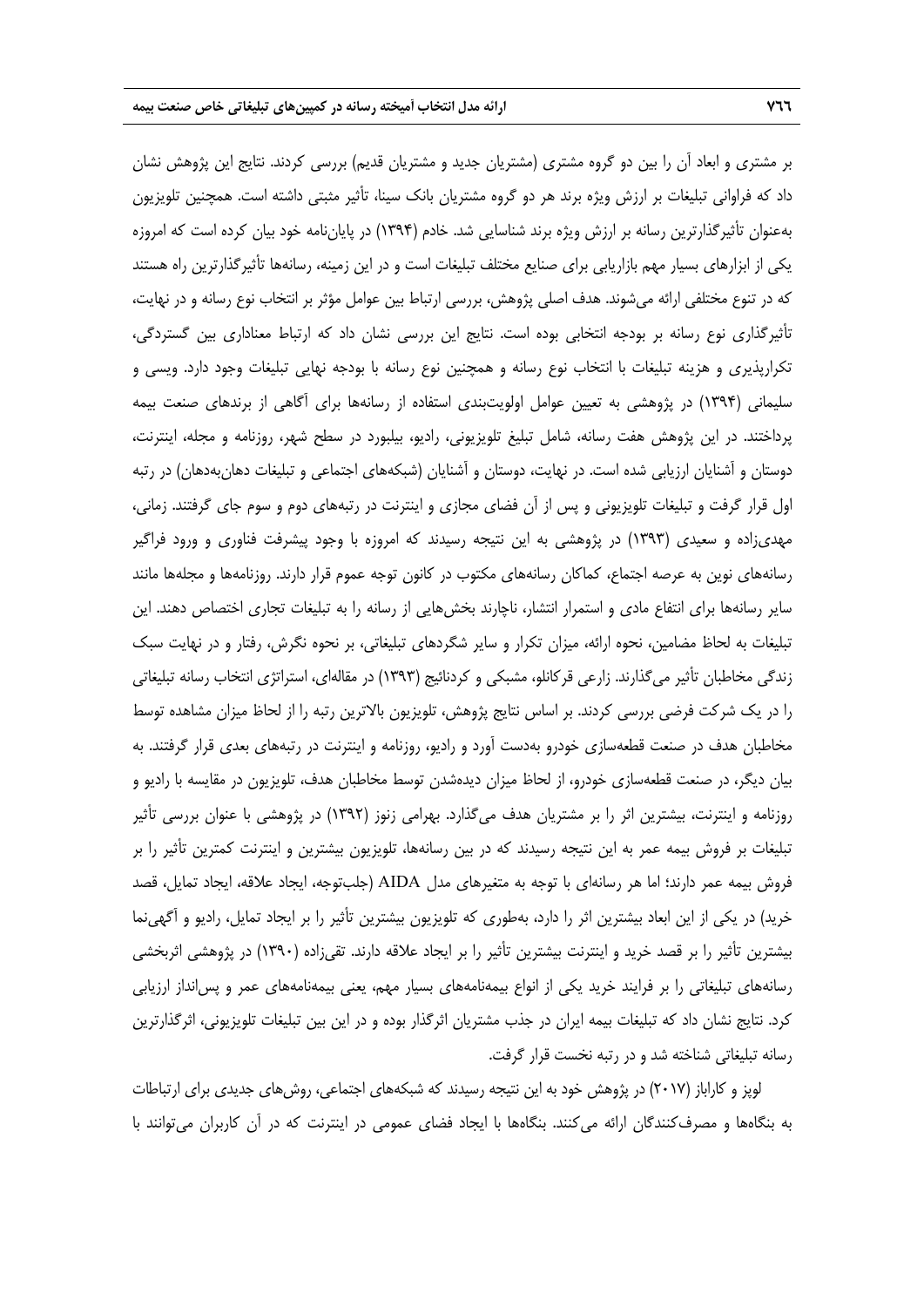بر مشتري و ابعاد آن را بين دو گروه مشتري (مشتريان جديد و مشتريان قديم) بررسي كردند. نتايج اين پژوهش نشان داد كه فراواني تبليغات بر ارزش ويژه برند هر دو گروه مشتريان بانك سينا، تأثير مثبتي داشته است. همچنين تلويزيون بهعنوان تأثيرگذارترين رسانه بر ارزش ويژه برند شناسايي شد. خادم (1394) در پاياننامه خود بيان كرده است كه امروزه يكي از ابزارهاي بسيار مهم بازاريابي براي صنايع مختلف تبليغات است و در اين زمينه، رسانهها تأثيرگذارترين راه هستند كه در تنوع مختلفي ارائه ميشوند. هدف اصلي پژوهش، بررسي ارتباط بين عوامل مؤثر بر انتخاب نوع رسانه و در نهايت، تأثيرگذاري نوع رسانه بر بودجه انتخابي بوده است. نتايج اين بررسي نشان داد كه ارتباط معناداري بين گستردگي، تكرارپذيري و هزينه تبليغات با انتخاب نوع رسانه و همچنين نوع رسانه با بودجه نهايي تبليغات وجود دارد. ويسي و سليماني (1394) در پژوهشي به تعيين عوامل اولويتبندي استفاده از رسانهها براي آگاهي از برندهاي صنعت بيمه پرداختند. در اين پژوهش هفت رسانه، شامل تبليغ تلويزيوني، راديو، بيلبورد در سطح شهر، روزنامه و مجله، اينترنت، دوستان و آشنايان ارزيابي شده است. در نهايت، دوستان و آشنايان (شبكههاي اجتماعي و تبليغات دهانبهدهان) در رتبه اول قرار گرفت و تبليغات تلويزيوني و پس از آن فضاي مجازي و اينترنت در رتبههاي دوم و سوم جاي گرفتند. زماني، مهديزاده و سعيدي (1393) در پژوهشي به اين نتيجه رسيدند كه امروزه با وجود پيشرفت فناوري و ورود فراگير رسانههاي نوين به عرصه اجتماع، كماكان رسانههاي مكتوب در كانون توجه عموم قرار دارند. روزنامهها و مجلهها مانند ساير رسانهها براي انتفاع مادي و استمرار انتشار، ناچارند بخشهايي از رسانه را به تبليغات تجاري اختصاص دهند. اين تبليغات به لحاظ مضامين، نحوه ارائه، ميزان تكرار و ساير شگردهاي تبليغاتي، بر نحوه نگرش، رفتار و در نهايت سبك زندگي مخاطبان تأثير ميگذارند. زارعي قركانلو، مشبكي و كردنائيج (1393) در مقالهاي، استراتژي انتخاب رسانه تبليغاتي را در يك شركت فرضي بررسي كردند. بر اساس نتايج پژوهش، تلويزيون بالاترين رتبه را از لحاظ ميزان مشاهده توسط مخاطبان هدف در صنعت قطعهسازي خودرو بهدست آورد و راديو، روزنامه و اينترنت در رتبههاي بعدي قرار گرفتند. به بيان ديگر، در صنعت قطعهسازي خودرو، از لحاظ ميزان ديدهشدن توسط مخاطبان هدف، تلويزيون در مقايسه با راديو و روزنامه و اينترنت، بيشترين اثر را بر مشتريان هدف ميگذارد. بهرامي زنوز (1392) در پژوهشي با عنوان بررسي تأثير تبليغات بر فروش بيمه عمر به اين نتيجه رسيدند كه در بين رسانهها، تلويزيون بيشترين و اينترنت كمترين تأثير را بر فروش بيمه عمر دارند؛ اما هر رسانهاي با توجه به متغيرهاي مدل AIDA) جلبتوجه، ايجاد علاقه، ايجاد تمايل، قصد خريد) در يكي از اين ابعاد بيشترين اثر را دارد، بهطوري كه تلويزيون بيشترين تأثير را بر ايجاد تمايل، راديو و آگهينما بيشترين تأثير را بر قصد خريد و اينترنت بيشترين تأثير را بر ايجاد علاقه دارند. تقيزاده (1390) در پژوهشي اثربخشي رسانههاي تبليغاتي را بر فرايند خريد يكي از انواع بيمهنامههاي بسيار مهم، يعني بيمهنامههاي عمر و پسانداز ارزيابي كرد. نتايج نشان داد كه تبليغات بيمه ايران در جذب مشتريان اثرگذار بوده و در اين بين تبليغات تلويزيوني، اثرگذارترين رسانه تبليغاتي شناخته شد و در رتبه نخست قرار گرفت.

لوپز و كاراباز (2017) در پژوهش خود به اين نتيجه رسيدند كه شبكههاي اجتماعي، روشهاي جديدي براي ارتباطات به بنگاهها و مصرفكنندگان ارائه ميكنند. بنگاهها با ايجاد فضاي عمومي در اينترنت كه در آن كاربران ميتوانند با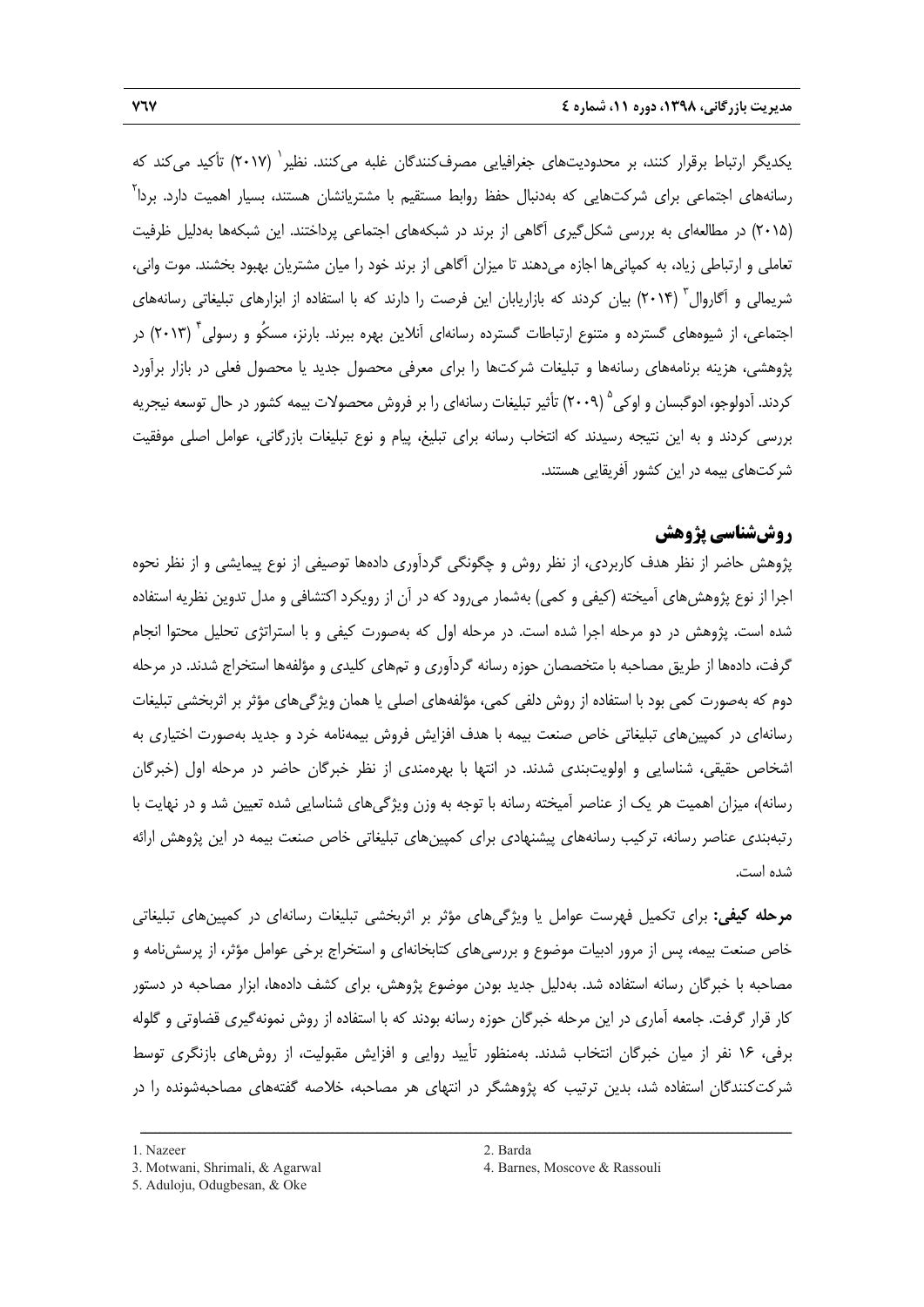يكديگر ارتباط برقرار كنند، بر محدوديتهاي جغرافيايي مصرفكنندگان غلبه ميكنند. نظير ` (٢٠١٧) تأكيد ميكند كه <sub>ز</sub>سانههای اجتماعی برای شرکتهایی که بهدنبال حفظ روابط مستقیم با مشتریانشان هستند، بسیار اهمیت دارد. بردا<sup>۲</sup> (2015) در مطالعهاي به بررسي شكلگيري آگاهي از برند در شبكههاي اجتماعي پرداختند. اين شبكهها بهدليل ظرفيت تعاملي و ارتباطي زياد، به كمپانيها اجازه ميدهند تا ميزان آگاهي از برند خود را ميان مشتريان بهبود بخشند. موت واني، شریمالی و آگاروال<sup>۳</sup> (۲۰۱۴) بیان کردند که بازاریابان این فرصت را دارند که با استفاده از ابزارهای تبلیغاتی رسانههای جتماعی، از شیوههای گسترده و متنوع ارتباطات گسترده رسانهای آنلاین بهره ببرند. بارنز، مسکُو و رسولی<sup>۴</sup> (۲۰۱۳) در پژوهشي، هزينه برنامههاي رسانهها و تبليغات شركتها را براي معرفي محصول جديد يا محصول فعلي در بازار برآورد كردند. آدولوجو، ادوگبسان و اوكي ° (۲۰۰۹) تأثير تبليغات رسانهاي را بر فروش محصولات بيمه كشور در حال توسعه نيجريه بررسي كردند و به اين نتيجه رسيدند كه انتخاب رسانه براي تبليغ، پيام و نوع تبليغات بازرگاني، عوامل اصلي موفقيت شركتهاي بيمه در اين كشور آفريقايي هستند.

# **روششناسي پژوهش**

پژوهش حاضر از نظر هدف كاربردي، از نظر روش و چگونگي گردآوري دادهها توصيفي از نوع پيمايشي و از نظر نحوه اجرا از نوع پژوهشهاي آميخته (كيفي و كمي) بهشمار ميرود كه در آن از رويكرد اكتشافي و مدل تدوين نظريه استفاده شده است. پژوهش در دو مرحله اجرا شده است. در مرحله اول كه بهصورت كيفي و با استراتژي تحليل محتوا انجام گرفت، دادهها از طريق مصاحبه با متخصصان حوزه رسانه گردآوري و تمهاي كليدي و مؤلفهها استخراج شدند. در مرحله دوم كه بهصورت كمي بود با استفاده از روش دلفي كمي، مؤلفههاي اصلي يا همان ويژگيهاي مؤثر بر اثربخشي تبليغات رسانهاي در كمپينهاي تبليغاتي خاص صنعت بيمه با هدف افزايش فروش بيمهنامه خرد و جديد بهصورت اختياري به اشخاص حقيقي، شناسايي و اولويتبندي شدند. در انتها با بهرهمندي از نظر خبرگان حاضر در مرحله اول (خبرگان رسانه)، ميزان اهميت هر يك از عناصر آميخته رسانه با توجه به وزن ويژگيهاي شناسايي شده تعيين شد و در نهايت با رتبهبندي عناصر رسانه، تركيب رسانههاي پيشنهادي براي كمپينهاي تبليغاتي خاص صنعت بيمه در اين پژوهش ارائه شده است.

**مرحله كيفي:** براي تكميل فهرست عوامل يا ويژگيهاي مؤثر بر اثربخشي تبليغات رسانهاي در كمپينهاي تبليغاتي خاص صنعت بيمه، پس از مرور ادبيات موضوع و بررسيهاي كتابخانهاي و استخراج برخي عوامل مؤثر، از پرسشنامه و مصاحبه با خبرگان رسانه استفاده شد. بهدليل جديد بودن موضوع پژوهش، براي كشف دادهها، ابزار مصاحبه در دستور كار قرار گرفت. جامعه آماري در اين مرحله خبرگان حوزه رسانه بودند كه با استفاده از روش نمونهگيري قضاوتي و گلوله برفي، 16 نفر از ميان خبرگان انتخاب شدند. بهمنظور تأييد روايي و افزايش مقبوليت، از روشهاي بازنگري توسط شركتكنندگان استفاده شد، بدين ترتيب كه پژوهشگر در انتهاي هر مصاحبه، خلاصه گفتههاي مصاحبهشونده را در

<sup>1.</sup> Nazeer 2. Barda

<sup>5.</sup> Aduloju, Odugbesan, & Oke

<sup>3.</sup> Motwani, Shrimali, & Agarwal 4. Barnes, Moscove & Rassouli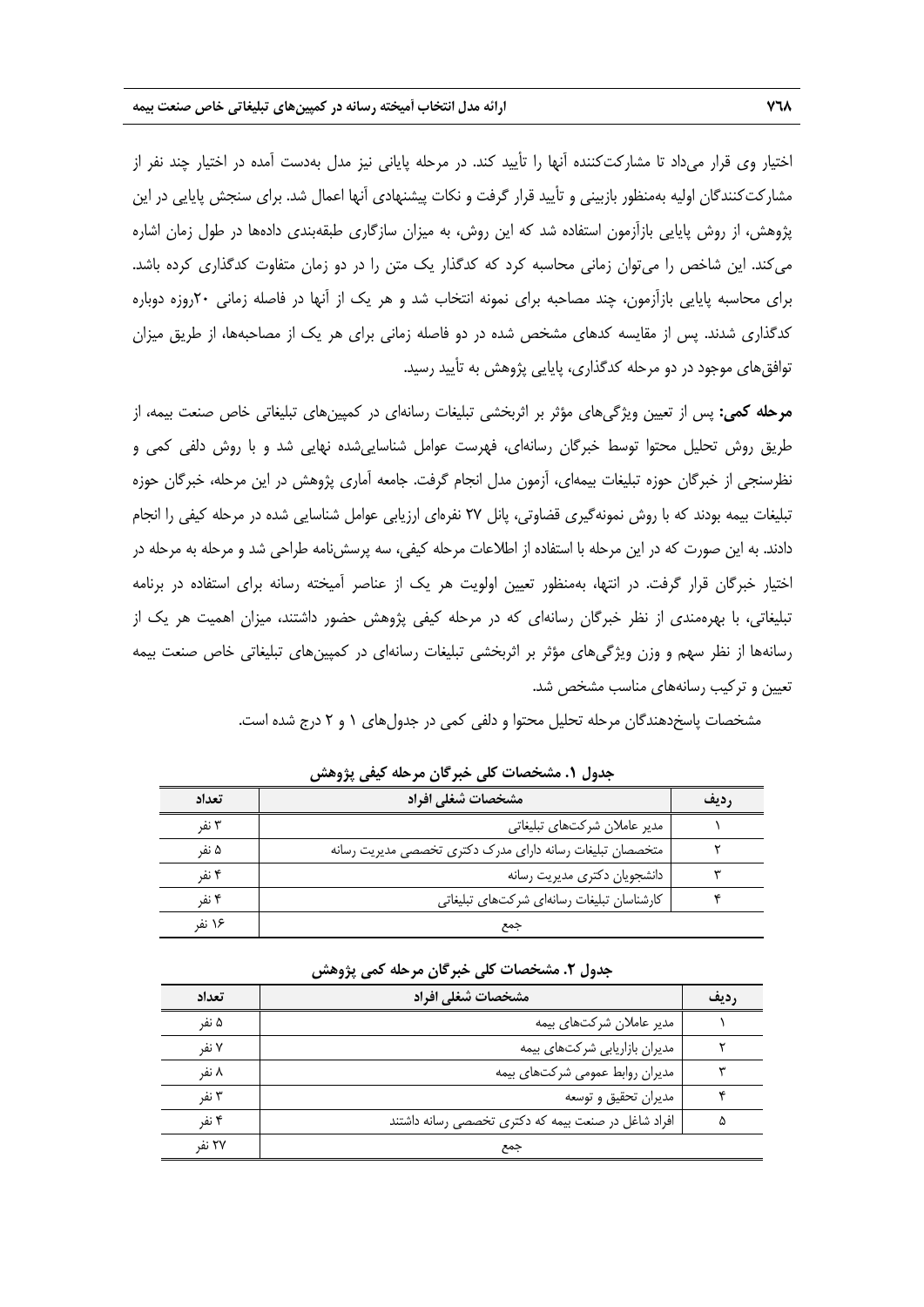اختيار وي قرار ميداد تا مشاركتكننده آنها را تأييد كند. در مرحله پاياني نيز مدل بهدست آمده در اختيار چند نفر از مشاركتكنندگان اوليه بهمنظور بازبيني و تأييد قرار گرفت و نكات پيشنهادي آنها اعمال شد. براي سنجش پايايي در اين پژوهش، از روش پايايي بازآزمون استفاده شد كه اين روش، به ميزان سازگاري طبقهبندي دادهها در طول زمان اشاره ميكند. اين شاخص را ميتوان زماني محاسبه كرد كه كدگذار يك متن را در دو زمان متفاوت كدگذاري كرده باشد. براي محاسبه پايايي بازآزمون، چند مصاحبه براي نمونه انتخاب شد و هر يك از آنها در فاصله زماني 20روزه دوباره كدگذاري شدند. پس از مقايسه كدهاي مشخص شده در دو فاصله زماني براي هر يك از مصاحبهها، از طريق ميزان توافقهاي موجود در دو مرحله كدگذاري، پايايي پژوهش به تأييد رسيد.

**مرحله كمي:** پس از تعيين ويژگيهاي مؤثر بر اثربخشي تبليغات رسانهاي در كمپينهاي تبليغاتي خاص صنعت بيمه، از طريق روش تحليل محتوا توسط خبرگان رسانهاي، فهرست عوامل شناساييشده نهايي شد و با روش دلفي كمي و نظرسنجي از خبرگان حوزه تبليغات بيمهاي، آزمون مدل انجام گرفت. جامعه آماري پژوهش در اين مرحله، خبرگان حوزه تبليغات بيمه بودند كه با روش نمونهگيري قضاوتي، پانل 27 نفرهاي ارزيابي عوامل شناسايي شده در مرحله كيفي را انجام دادند. به اين صورت كه در اين مرحله با استفاده از اطلاعات مرحله كيفي، سه پرسشنامه طراحي شد و مرحله به مرحله در اختيار خبرگان قرار گرفت. در انتها، بهمنظور تعيين اولويت هر يك از عناصر آميخته رسانه براي استفاده در برنامه تبليغاتي، با بهرهمندي از نظر خبرگان رسانهاي كه در مرحله كيفي پژوهش حضور داشتند، ميزان اهميت هر يك از رسانهها از نظر سهم و وزن ويژگيهاي مؤثر بر اثربخشي تبليغات رسانهاي در كمپينهاي تبليغاتي خاص صنعت بيمه تعيين و تركيب رسانههاي مناسب مشخص شد.

| مشخصات پاسخدهندگان مرحله تحلیل محتوا و دلفی کمی در جدولهای ۱ و ۲ درج شده است. |  |  |  |  |
|-------------------------------------------------------------------------------|--|--|--|--|
|-------------------------------------------------------------------------------|--|--|--|--|

| تعداد  | مشخصات شغلي افراد                                         | <b>ردیف</b> |
|--------|-----------------------------------------------------------|-------------|
| ۳ نفہ  | مدیر عاملان شرکتهای تبلیغاتی                              |             |
| ۵ نفر  | متخصصان تبليغات رسانه داراى مدرك دكترى تخصصى مديريت رسانه |             |
| ۴ نفر  | دانشجویان دکتری مدیریت رسانه                              |             |
| ۴ نف   | كارشناسان تبليغات رسانهاى شركتهاى تبليغاتى                |             |
| ۱۶ نفر | حمح                                                       |             |

**جدول .1 مشخصات كلي خبرگان مرحله كيفي پژوهش** 

|  |  | جدول ۲. مشخصات کلی خبرگان مرحله کمی پژوهش |  |
|--|--|-------------------------------------------|--|
|--|--|-------------------------------------------|--|

| تعداد  | مشخصات شغلي افراد                                   |  |  |  |
|--------|-----------------------------------------------------|--|--|--|
| ۵ نفر  | مدیر عاملان شرکتهای بیمه                            |  |  |  |
| ۷ نف   | مدیران بازاریابی شرکتهای بیمه                       |  |  |  |
| ۸ نفر  | مدیران روابط عمومی شرکتهای بیمه                     |  |  |  |
| ۲ نف   | مديران تحقيق و توسعه                                |  |  |  |
| ۴ نفہ  | افراد شاغل در صنعت بیمه که دکتری تخصصی رسانه داشتند |  |  |  |
| ۲۷ نفر | جمع                                                 |  |  |  |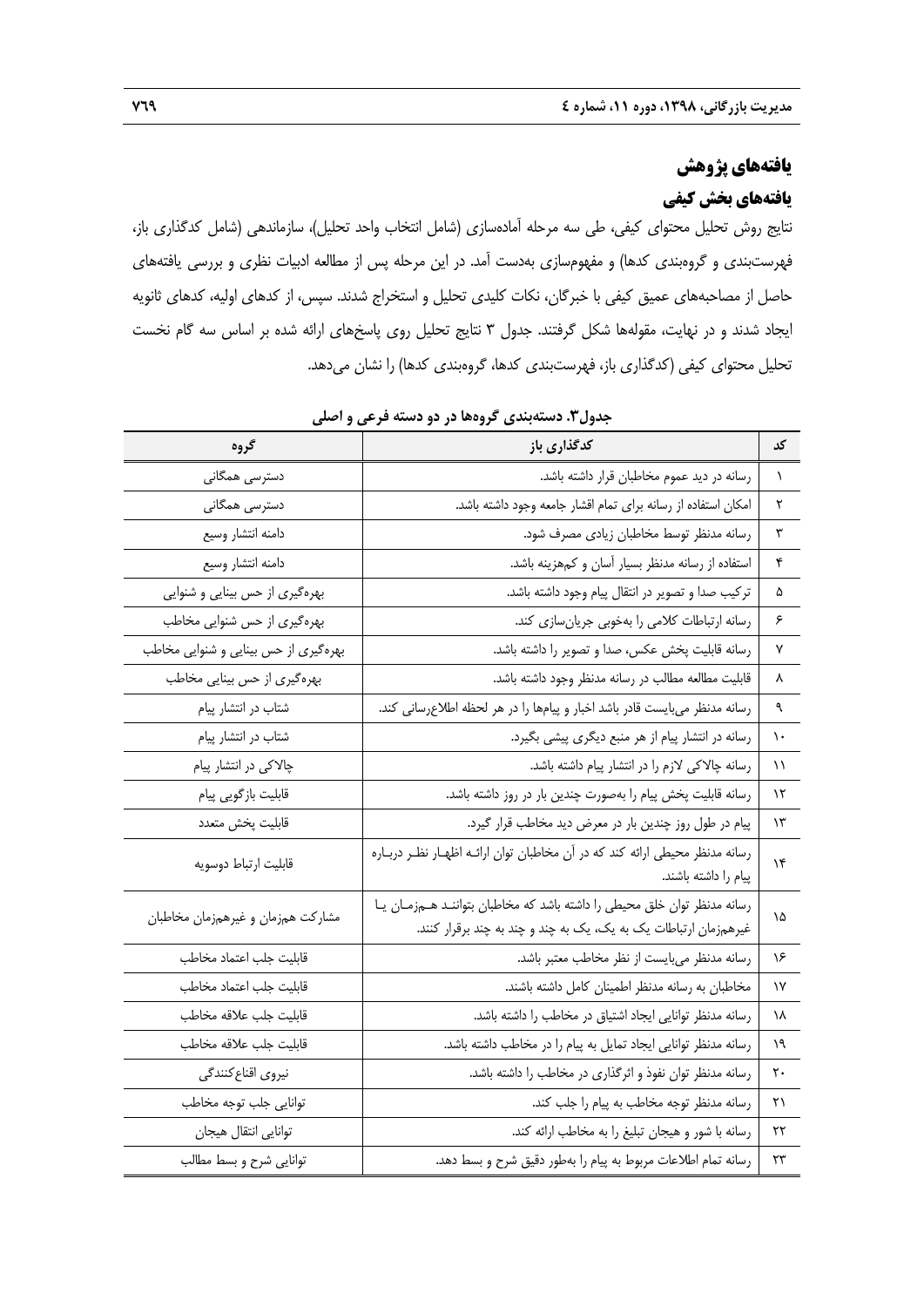# **يافتههاي پژوهش يافتههاي بخش كيفي**

نتايج روش تحليل محتواي كيفي، طي سه مرحله آمادهسازي (شامل انتخاب واحد تحليل)، سازماندهي (شامل كدگذاري باز، فهرستبندي و گروهبندي كدها) و مفهومسازي بهدست آمد. در اين مرحله پس از مطالعه ادبيات نظري و بررسي يافتههاي حاصل از مصاحبههاي عميق كيفي با خبرگان، نكات كليدي تحليل و استخراج شدند. سپس، از كدهاي اوليه، كدهاي ثانويه ايجاد شدند و در نهايت، مقولهها شكل گرفتند. جدول 3 نتايج تحليل روي پاسخهاي ارائه شده بر اساس سه گام نخست تحليل محتواي كيفي (كدگذاري باز، فهرستبندي كدها، گروهبندي كدها) را نشان ميدهد.

| گروه                                 | كدگذارى باز                                                                                                                                   | کد          |
|--------------------------------------|-----------------------------------------------------------------------------------------------------------------------------------------------|-------------|
| دسترسی همگانی                        | رسانه در دید عموم مخاطبان قرار داشته باشد.                                                                                                    | $\lambda$   |
| دسترسی همگانی                        | امكان استفاده از رسانه براي تمام اقشار جامعه وجود داشته باشد.                                                                                 | ٢           |
| دامنه انتشار وسيع                    | رسانه مدنظر توسط مخاطبان زيادي مصرف شود.                                                                                                      | ٣           |
| دامنه انتشار وسيع                    | استفاده از رسانه مدنظر بسيار آسان و كمهزينه باشد.                                                                                             | ۴           |
| بهرهگیری از حس بینایی و شنوایی       | تركيب صدا و تصوير در انتقال پيام وجود داشته باشد.                                                                                             | ۵           |
| بهرهگیری از حس شنوایی مخاطب          | رسانه ارتباطات كلامي را بهخوبي جريانسازي كند.                                                                                                 | ۶           |
| بهرهگیری از حس بینایی و شنوایی مخاطب | رسانه قابلیت پخش عکس، صدا و تصویر را داشته باشد.                                                                                              | γ           |
| بهرهگیری از حس بینایی مخاطب          | قابلیت مطالعه مطالب در رسانه مدنظر وجود داشته باشد.                                                                                           | ٨           |
| شتاب در انتشار پیام                  | رسانه مدنظر میبایست قادر باشد اخبار و پیامها را در هر لحظه اطلاعرسانی کند.                                                                    | ٩           |
| شتاب در انتشار پیام                  | رسانه در انتشار پیام از هر منبع دیگری پیشی بگیرد.                                                                                             | ١.          |
| چالاکی در انتشار پیام                | رسانه چالاکی لازم را در انتشار پیام داشته باشد.                                                                                               | $\setminus$ |
| قابلیت بازگویی پیام                  | رسانه قابلیت پخش پیام را بهصورت چندین بار در روز داشته باشد.                                                                                  | ۱۲          |
| قابليت پخش متعدد                     | پیام در طول روز چندین بار در معرض دید مخاطب قرار گیرد.                                                                                        | ۱۳          |
| قابليت ارتباط دوسويه                 | رسانه مدنظر محیطی ارائه کند که در آن مخاطبان توان ارائـه اظهـار نظـر دربـاره<br>پیام را داشته باشند.                                          | $\lambda$   |
| مشاركت همزمان و غيرهمزمان مخاطبان    | رسانه مدنظر توان خلق محيطى را داشته باشد كه مخاطبان بتواننـد هـمزمـان يـا<br>غیرهمزمان ارتباطات یک به یک، یک به چند و چند به چند برقرار کنند. | ١۵          |
| قابليت جلب اعتماد مخاطب              | رسانه مدنظر مىبايست از نظر مخاطب معتبر باشد.                                                                                                  | ۱۶          |
| قابليت جلب اعتماد مخاطب              | مخاطبان به رسانه مدنظر اطمينان كامل داشته باشند.                                                                                              | ١٧          |
| قابليت جلب علاقه مخاطب               | رسانه مدنظر توانایی ایجاد اشتیاق در مخاطب را داشته باشد.                                                                                      | ١٨          |
| قابليت جلب علاقه مخاطب               | رسانه مدنظر توانایی ایجاد تمایل به پیام را در مخاطب داشته باشد.                                                                               | ۱۹          |
| نيروى اقناع كنندگى                   | رسانه مدنظر توان نفوذ و اثرگذاری در مخاطب را داشته باشد.                                                                                      | ٢٠          |
| توانايي جلب توجه مخاطب               | رسانه مدنظر توجه مخاطب به پیام را جلب کند.                                                                                                    | ۲۱          |
| توانايي انتقال هيجان                 | رسانه با شور و هیجان تبلیغ را به مخاطب ارائه کند.                                                                                             | ۲۲          |
| توانايي شرح و بسط مطالب              | رسانه تمام اطلاعات مربوط به پیام را بهطور دقیق شرح و بسط دهد.                                                                                 | ٢٣          |

**جدول.3 دستهبندي گروهها در دو دسته فرعي و اصلي**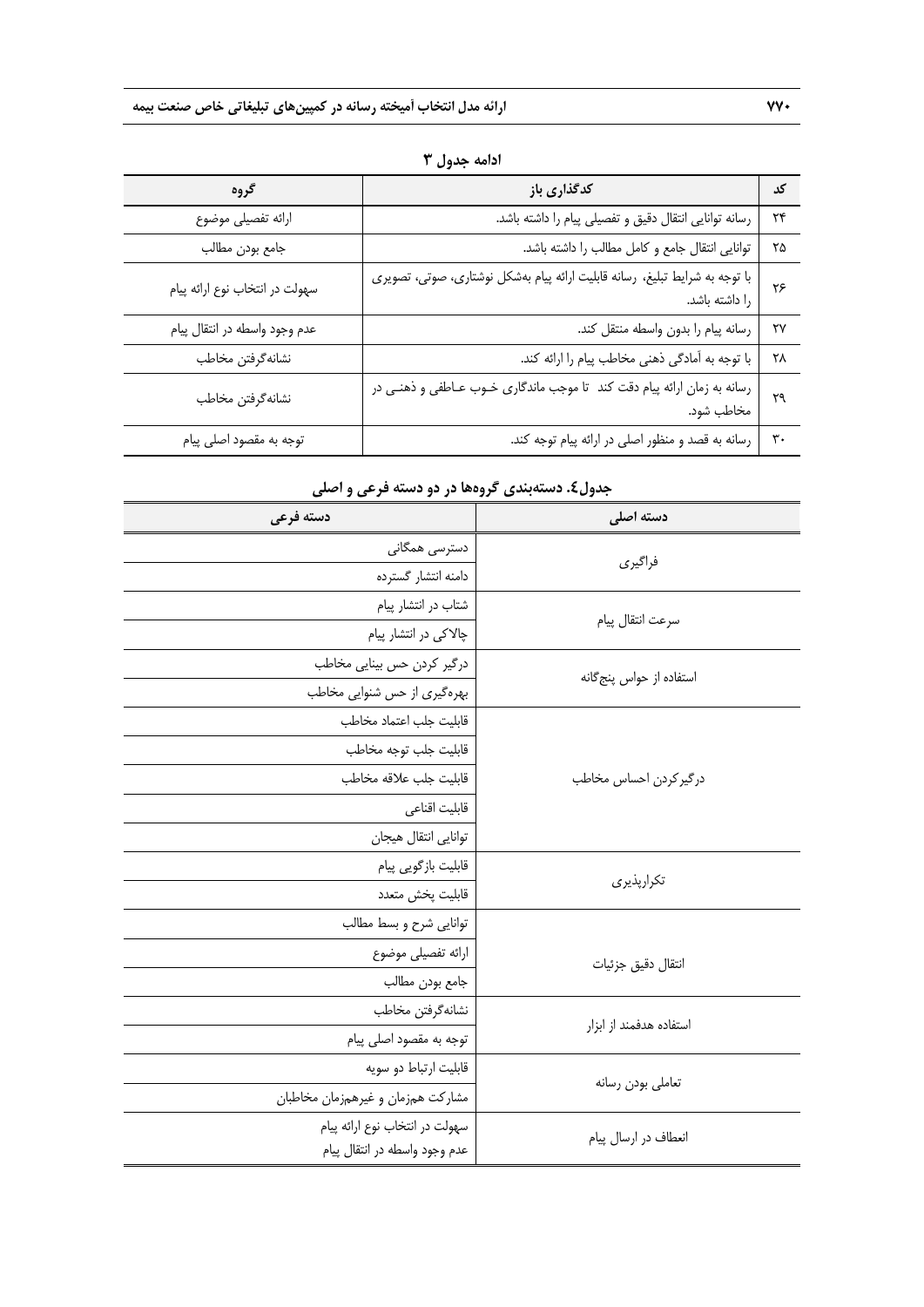| گروه                           | كدگذارى باز                                                                                   | کد             |
|--------------------------------|-----------------------------------------------------------------------------------------------|----------------|
| ارائه تفصيلي موضوع             | رسانه توانایی انتقال دقیق و تفصیلی پیام را داشته باشد.                                        | ٢۴             |
| جامع بودن مطالب                | توانایی انتقال جامع و کامل مطالب را داشته باشد.                                               | ۲۵             |
| سهولت در انتخاب نوع ارائه پيام | با توجه به شرایط تبلیغ، رسانه قابلیت ارائه پیام بهشکل نوشتاری، صوتی، تصویری<br>را داشته باشد. | ۲۶             |
| عدم وجود واسطه در انتقال پیام  | رسانه پيام را بدون واسطه منتقل كند.                                                           | ٢٧             |
| نشانه گرفتن مخاطب              | با توجه به أمادگي ذهني مخاطب پيام را ارائه كند.                                               | ۲۸             |
| نشانه گرفتن مخاطب              | رسانه به زمان ارائه پیام دقت کند  تا موجب ماندگاری خـوب عـاطفی و ذهنـی در<br>مخاطب شود.       | ٢٩             |
| توجه به مقصود اصلي پيام        | رسانه به قصد و منظور اصلی در ارائه پیام توجه کند.                                             | $\mathbf{r}$ . |

**ادامه جدول 3** 

# **دسته اصلي دسته فرعي**  دسترسي همگاني <mark>(دسترسي همگاني )</mark><br>مسيحت دامنه انتشار گسترده شتاب در انتشار پيام<br>سرعت انتقال پيام چالاكي در انتشار پيام درگير كردن حس بينايي مخاطب استفاده از حواس پنج<sup>م</sup>انه<br>استفاده از حواس پنجگانه بهرهگيري از حس شنوايي مخاطب درگيركردن احساس مخاطب قابليت جلب اعتماد مخاطب قابليت جلب توجه مخاطب قابليت جلب علاقه مخاطب قابليت اقناعي توانايي انتقال هيجان قابليت بازگويي پيام<br>تكرارپذيري قابليت پخش متعدد انتقال دقيق جزئيات توانايي شرح و بسط مطالب ارائه تفصيلي موضوع جامع بودن مطالب نشانهگرفتن مخاطب<br>استفاده هدفمند از ابزار توجه به مقصود اصلي پيام قابليت ارتباط دو سويه <mark>.</mark><br>تعاملي بودن رسانه مشاركت همزمان و غيرهمزمان مخاطبان سهولت در انتخاب نوع ارائه پيام انعطاف در ارسال پيام عدم وجود واسطه در انتقال پيام

## **جدول.4 دستهبندي گروهها در دو دسته فرعي و اصلي**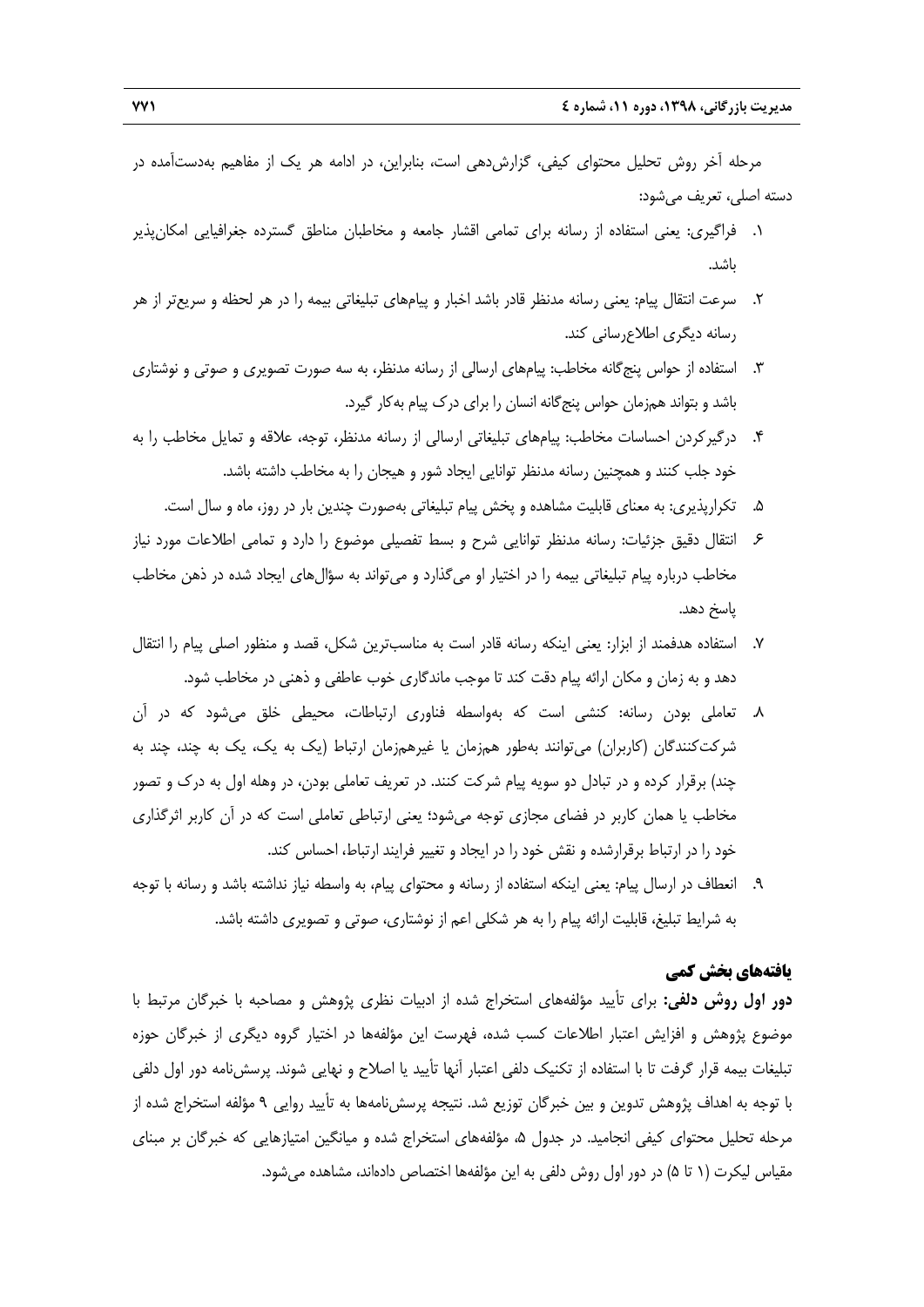مرحله آخر روش تحليل محتواي كيفي، گزارش دهي است، بنابراين، در ادامه هر يک از مفاهيم بهدستآمده در دسته اصلي، تعريف ميشود:

- .1 فراگيري: يعني استفاده از رسانه براي تمامي اقشار جامعه و مخاطبان مناطق گسترده جغرافيايي امكانپذير باشد.
- .2 سرعت انتقال پيام: يعني رسانه مدنظر قادر باشد اخبار و پيامهاي تبليغاتي بيمه را در هر لحظه و سريعتر از هر رسانه ديگري اطلاعرساني كند.
- .3 استفاده از حواس پنجگانه مخاطب: پيامهاي ارسالي از رسانه مدنظر، به سه صورت تصويري و صوتي و نوشتاري باشد و بتواند همزمان حواس پنجگانه انسان را براي درك پيام بهكار گيرد.
- .4 درگيركردن احساسات مخاطب: پيامهاي تبليغاتي ارسالي از رسانه مدنظر، توجه، علاقه و تمايل مخاطب را به خود جلب كنند و همچنين رسانه مدنظر توانايي ايجاد شور و هيجان را به مخاطب داشته باشد.
	- .5 تكرارپذيري: به معناي قابليت مشاهده و پخش پيام تبليغاتي بهصورت چندين بار در روز، ماه و سال است.
- .6 انتقال دقيق جزئيات: رسانه مدنظر توانايي شرح و بسط تفصيلي موضوع را دارد و تمامي اطلاعات مورد نياز مخاطب درباره پيام تبليغاتي بيمه را در اختيار او ميگذارد و ميتواند به سؤالهاي ايجاد شده در ذهن مخاطب پاسخ دهد.
- .7 استفاده هدفمند از ابزار: يعني اينكه رسانه قادر است به مناسبترين شكل، قصد و منظور اصلي پيام را انتقال دهد و به زمان و مكان ارائه پيام دقت كند تا موجب ماندگاري خوب عاطفي و ذهني در مخاطب شود.
- .8 تعاملي بودن رسانه: كنشي است كه بهواسطه فناوري ارتباطات، محيطي خلق ميشود كه در آن شركتكنندگان (كاربران) ميتوانند بهطور همزمان يا غيرهمزمان ارتباط (يك به يك، يك به چند، چند به چند) برقرار كرده و در تبادل دو سويه پيام شركت كنند. در تعريف تعاملي بودن، در وهله اول به درك و تصور مخاطب يا همان كاربر در فضاي مجازي توجه ميشود؛ يعني ارتباطي تعاملي است كه در آن كاربر اثرگذاري خود را در ارتباط برقرارشده و نقش خود را در ايجاد و تغيير فرايند ارتباط، احساس كند.
- .9 انعطاف در ارسال پيام: يعني اينكه استفاده از رسانه و محتواي پيام، به واسطه نياز نداشته باشد و رسانه با توجه به شرايط تبليغ، قابليت ارائه پيام را به هر شكلي اعم از نوشتاري، صوتي و تصويري داشته باشد.

# **يافتههاي بخش كمي**

**دور اول روش دلفي:** براي تأييد مؤلفههاي استخراج شده از ادبيات نظري پژوهش و مصاحبه با خبرگان مرتبط با موضوع پژوهش و افزايش اعتبار اطلاعات كسب شده، فهرست اين مؤلفهها در اختيار گروه ديگري از خبرگان حوزه تبليغات بيمه قرار گرفت تا با استفاده از تكنيك دلفي اعتبار آنها تأييد يا اصلاح و نهايي شوند. پرسشنامه دور اول دلفي با توجه به اهداف پژوهش تدوين و بين خبرگان توزيع شد. نتيجه پرسشنامهها به تأييد روايي 9 مؤلفه استخراج شده از مرحله تحليل محتواي كيفي انجاميد. در جدول ۵، مؤلفههاي استخراج شده و ميانگين امتيازهايي كه خبرگان بر مبناي مقياس ليكرت (1 تا 5) در دور اول روش دلفي به اين مؤلفهها اختصاص دادهاند، مشاهده ميشود.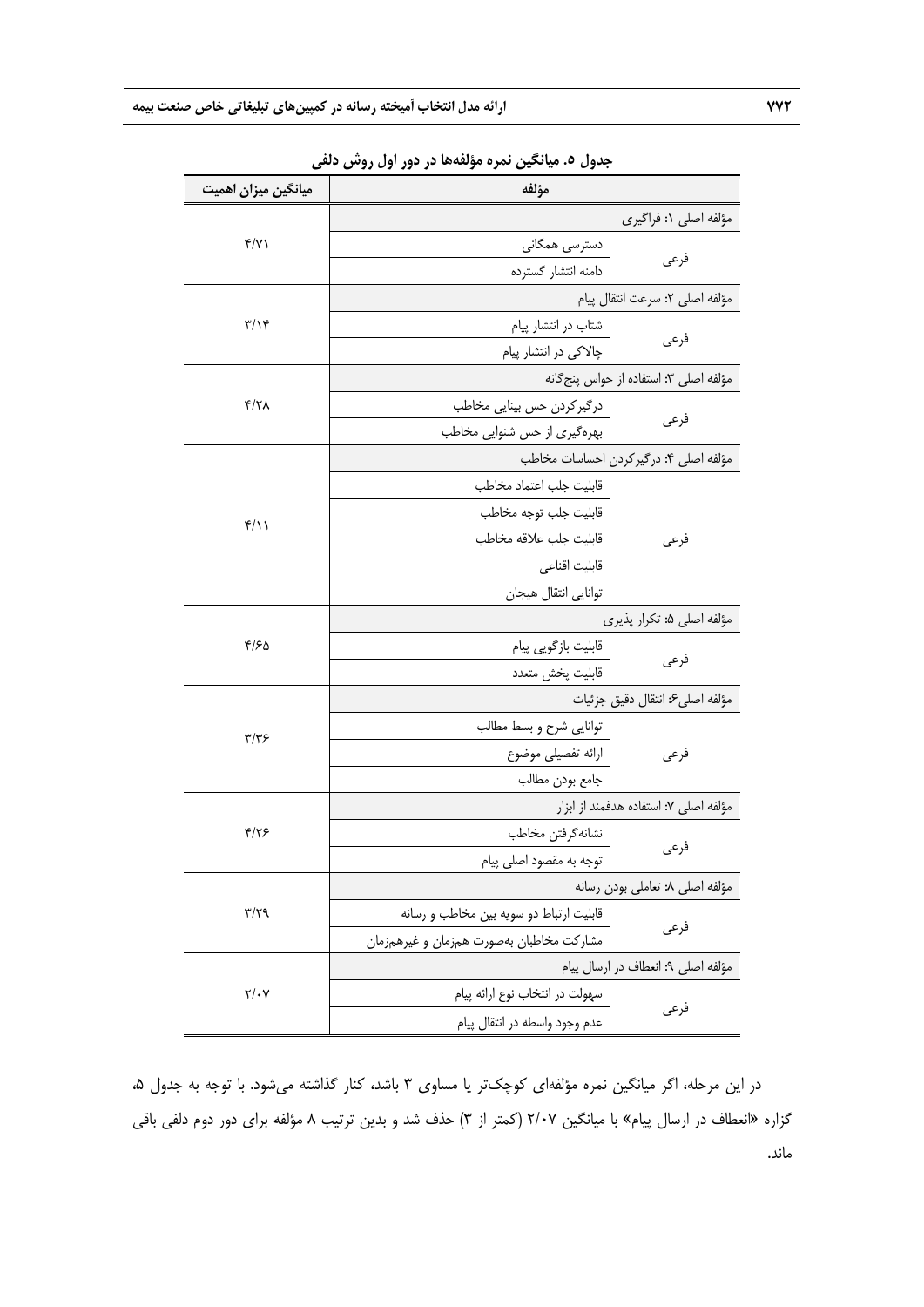| میانگین میزان اهمیت          | مؤلفه                                            |                                        |  |
|------------------------------|--------------------------------------------------|----------------------------------------|--|
|                              |                                                  | مؤلفه اصلى ١: فراگيرى                  |  |
| Y/Y                          | دسترسی همگانی                                    |                                        |  |
|                              | دامنه انتشار گسترده                              | فرعى                                   |  |
|                              |                                                  | مؤلفه اصلى ٢: سرعت انتقال پيام         |  |
| $\frac{1}{2}$                | شتاب در انتشار پیام                              |                                        |  |
|                              | چالاکی در انتشار پیام                            | فرعى                                   |  |
|                              |                                                  | مؤلفه اصلى ٣: استفاده از حواس پنج گانه |  |
| $\frac{1}{\sqrt{2}}$         | درگیرکردن حس بینایی مخاطب                        | فرعى                                   |  |
|                              | بهرهگیری از حس شنوایی مخاطب                      |                                        |  |
|                              |                                                  | مؤلفه اصلى ۴: درگير كردن احساسات مخاطب |  |
|                              | قابليت جلب اعتماد مخاطب                          |                                        |  |
| $f/\gamma$                   | قابليت جلب توجه مخاطب                            |                                        |  |
|                              | قابليت جلب علاقه مخاطب                           | فرعى                                   |  |
|                              | قابليت اقناعى                                    |                                        |  |
|                              | توانايي انتقال هيجان                             |                                        |  |
|                              |                                                  | مؤلفه اصلى ۵: تكرار پذيرى              |  |
| ۴/۶۵                         | قابليت بازگويي پيام                              | فرعى                                   |  |
|                              | قابليت پخش متعدد                                 |                                        |  |
|                              |                                                  | مؤلفه اصلى ۶ انتقال دقيق جزئيات        |  |
| ۳/۳۶                         | توانايي شرح و بسط مطالب                          |                                        |  |
|                              | ارائه تفصيلي موضوع                               | فرعى                                   |  |
|                              | جامع بودن مطالب                                  |                                        |  |
|                              |                                                  | مؤلفه اصلى ٧: استفاده هدفمند از ابزار  |  |
| ۴/۲۶                         | نشانه گرفتن مخاطب                                |                                        |  |
|                              | توجه به مقصود اصلي پيام                          | فرعى                                   |  |
|                              |                                                  | مؤلفه اصلى ٨: تعاملي بودن رسانه        |  |
| $\mathbf{r}/\mathbf{r}$      | قابلیت ارتباط دو سویه بین مخاطب و رسانه          |                                        |  |
|                              | فرعى<br>مشاركت مخاطبان بهصورت همزمان و غيرهمزمان |                                        |  |
|                              |                                                  | مؤلفه اصلى ٩: انعطاف در ارسال پيام     |  |
| $\mathbf{Y}/\cdot\mathbf{V}$ | سهولت در انتخاب نوع ارائه پیام                   |                                        |  |
|                              | عدم وجود واسطه در انتقال پيام                    | فرعى                                   |  |

**جدول .5 ميانگين نمره مؤلفهها در دور اول روش دلفي**

در اين مرحله، اگر ميانگين نمره مؤلفهاي كوچكتر يا مساوي ٣ باشد، كنار گذاشته ميشود. با توجه به جدول ۵، گزاره «انعطاف در ارسال پيام» با ميانگين 2/07 (كمتر از 3) حذف شد و بدين ترتيب 8 مؤلفه براي دور دوم دلفي باقي ماند.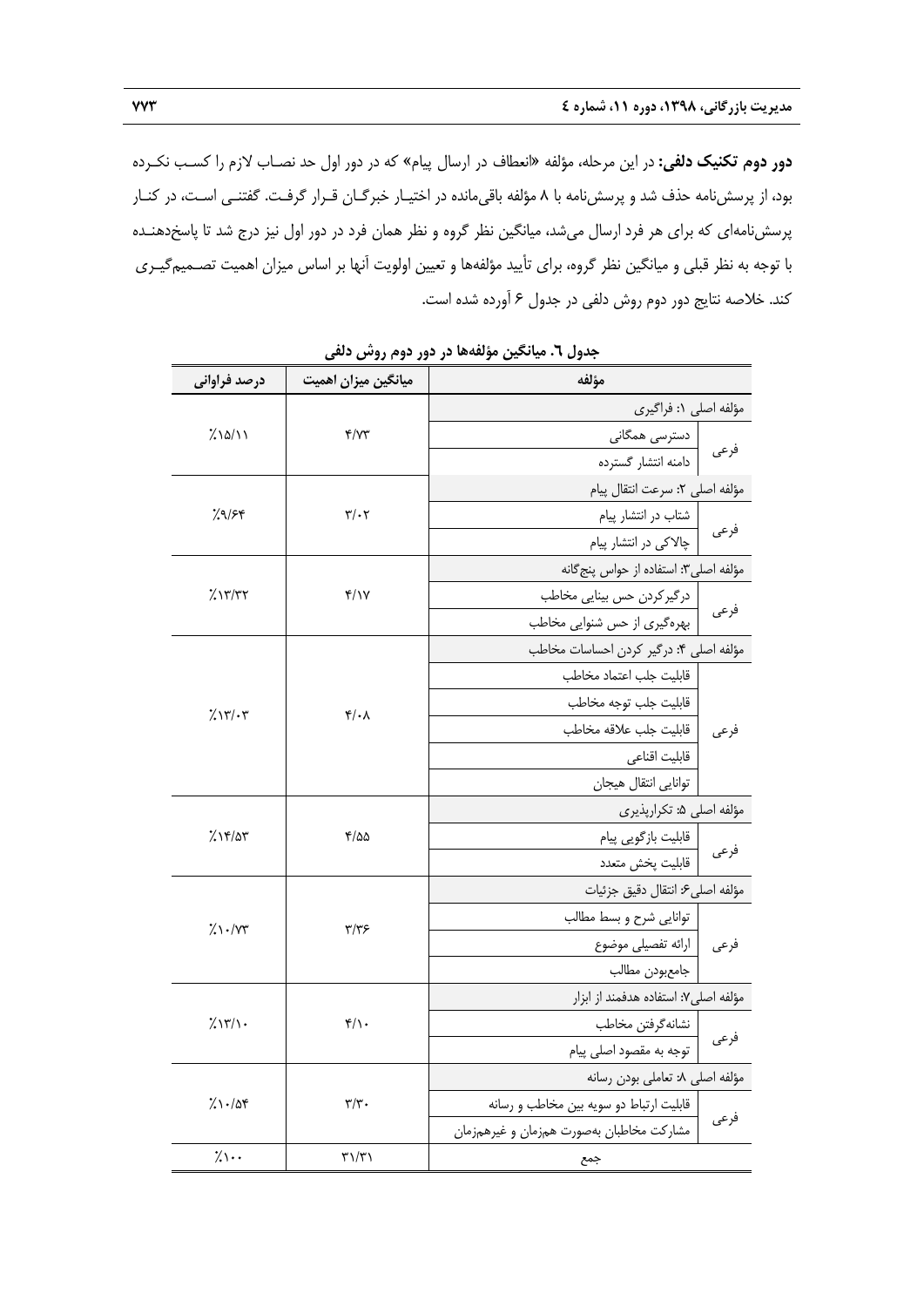**دور دوم تكنيك دلفي:** در اين مرحله، مؤلفه «انعطاف در ارسال پيام» كه در دور اول حد نصـاب لازم را كسـب نكـرده بود، از پرسشنامه حذف شد و پرسشنامه با 8 مؤلفه باقيمانده در اختيـار خبرگـان قـرار گرفـت. گفتنـي اسـت، در كنـار پرسشنامهاي كه براي هر فرد ارسال ميشد، ميانگين نظر گروه و نظر همان فرد در دور اول نيز درج شد تا پاسخدهنـده با توجه به نظر قبلي و ميانگين نظر گروه، براي تأييد مؤلفهها و تعيين اولويت آنها بر اساس ميزان اهميت تصـميمگيـري كند. خلاصه نتايج دور دوم روش دلفي در جدول 6 آورده شده است.

| درصد فراوانی             | میانگین میزان اهمیت                 | مؤلفه                                    |      |  |
|--------------------------|-------------------------------------|------------------------------------------|------|--|
|                          |                                     | مؤلفه اصلى ١: فراگيرى                    |      |  |
| 7/2/11                   | Y/YY                                | دسترسی همگانی                            |      |  |
|                          |                                     | دامنه انتشار گسترده                      | فرعى |  |
|                          |                                     | مؤلفه اصلى ٢: سرعت انتقال پيام           |      |  |
| 7.9/54                   | $\mathbf{r}/\cdot\mathbf{r}$        | شتاب در انتشار پیام                      |      |  |
|                          |                                     | چالاکی در انتشار پیام                    | فرعى |  |
|                          |                                     | مؤلفه اصلي٣: استفاده از حواس پنج گانه    |      |  |
| 7.1777                   | f/Y                                 | درگیرکردن حس بینایی مخاطب                | فرعى |  |
|                          |                                     | بهرهگیری از حس شنوایی مخاطب              |      |  |
|                          |                                     | مؤلفه اصلى ۴: درگير كردن احساسات مخاطب   |      |  |
|                          |                                     | قابليت جلب اعتماد مخاطب                  |      |  |
| 7.17/27                  | $\mathfrak{r}/\cdot \Lambda$        | قابليت جلب توجه مخاطب                    |      |  |
|                          |                                     | قابليت جلب علاقه مخاطب                   | فرعى |  |
|                          |                                     | قابليت اقناعى                            |      |  |
|                          |                                     | توانايي انتقال هيجان                     |      |  |
|                          | ۲/۵۵                                | مؤلفه اصلى ۵: تكرارپذيرى                 |      |  |
| ۱۴/۵۳٪                   |                                     | قابليت بازگويي پيام                      | فرعى |  |
|                          |                                     | قابليت پخش متعدد                         |      |  |
|                          |                                     | مؤلفه اصلى ۶: انتقال دقيق جزئيات         |      |  |
| $\frac{1}{2}$ $\sqrt{v}$ | $\frac{1}{2}$                       | توانايي شرح وبسط مطالب                   |      |  |
|                          |                                     | فرعى   ارائه تفصيلي موضوع                |      |  |
|                          |                                     | جامعبودن مطالب                           |      |  |
|                          |                                     | مؤلفه اصلى ٧: استفاده هدفمند از ابزار    |      |  |
| 7/17/1.                  | $f/\iota$                           | نشانهگرفتن مخاطب                         | فرعى |  |
|                          |                                     | توجه به مقصود اصلي پيام                  |      |  |
|                          |                                     | مؤلفه اصلى ٨: تعاملي بودن رسانه          |      |  |
| $\lambda\cdot\Delta r$   | $\mathbf{r}/\mathbf{r}$ .           | قابلیت ارتباط دو سویه بین مخاطب و رسانه  |      |  |
|                          |                                     | مشاركت مخاطبان بهصورت همزمان و غيرهمزمان |      |  |
| $\gamma$                 | $\mathbf{r}\mathbf{1} / \mathbf{r}$ | جمع                                      |      |  |

**جدول .6 ميانگين مؤلفهها در دور دوم روش دلفي**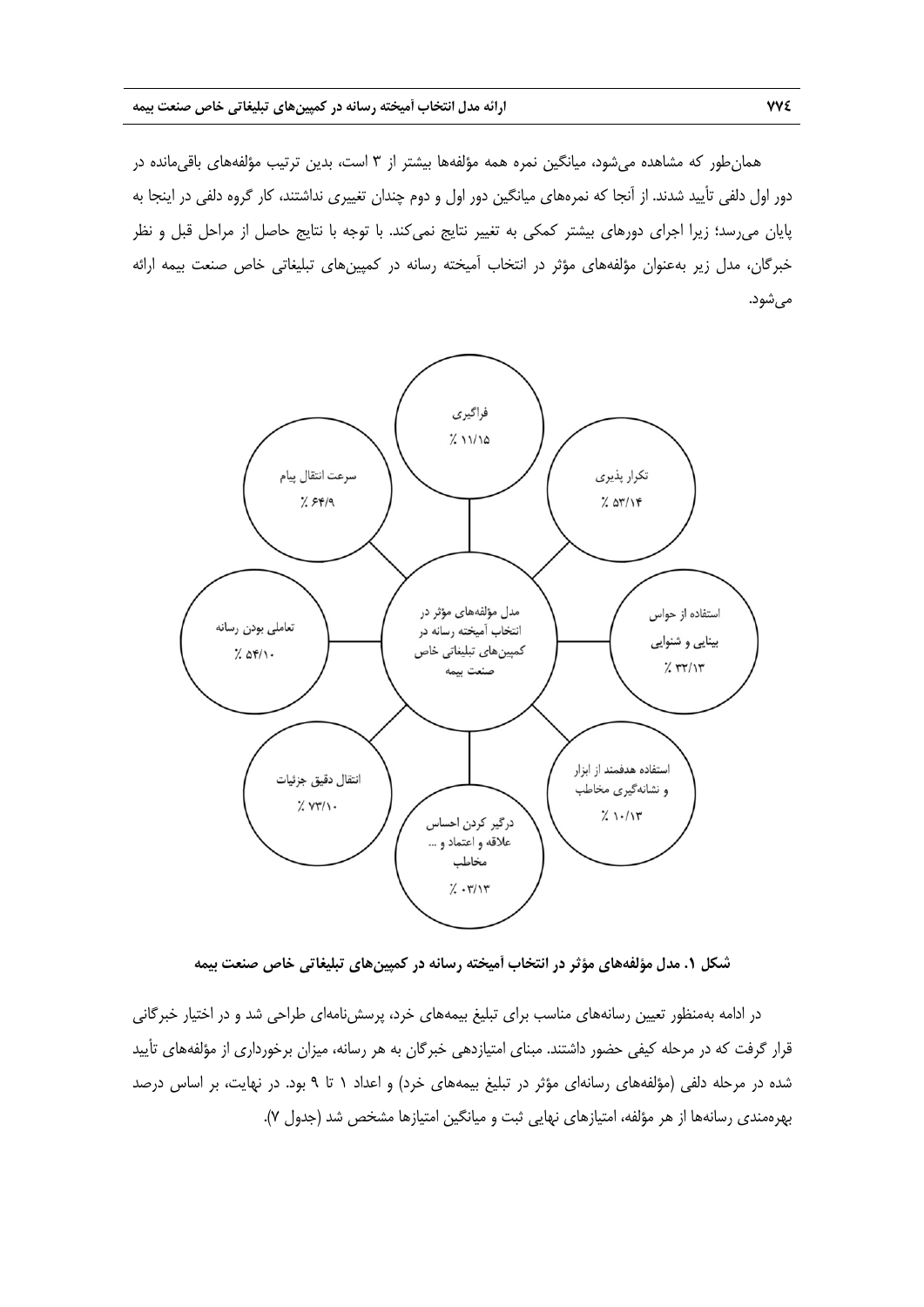همانطور كه مشاهده ميشود، ميانگين نمره همه مؤلفهها بيشتر از 3 است، بدين ترتيب مؤلفههاي باقيمانده در دور اول دلفي تأييد شدند. از آنجا كه نمرههاي ميانگين دور اول و دوم چندان تغييري نداشتند، كار گروه دلفي در اينجا به پايان ميرسد؛ زيرا اجراي دورهاي بيشتر كمكي به تغيير نتايج نميكند. با توجه با نتايج حاصل از مراحل قبل و نظر خبرگان، مدل زير بهعنوان مؤلفههاي مؤثر در انتخاب آميخته رسانه در كمپينهاي تبليغاتي خاص صنعت بيمه ارائه ميشود.



**شكل .1 مدل مؤلفههاي مؤثر در انتخاب آميخته رسانه در كمپينهاي تبليغاتي خاص صنعت بيمه** 

در ادامه بهمنظور تعيين رسانههاي مناسب براي تبليغ بيمههاي خرد، پرسشنامهاي طراحي شد و در اختيار خبرگاني قرار گرفت كه در مرحله كيفي حضور داشتند. مبناي امتيازدهي خبرگان به هر رسانه، ميزان برخورداري از مؤلفههاي تأييد شده در مرحله دلفي (مؤلفههاي رسانهاي مؤثر در تبليغ بيمههاي خرد) و اعداد 1 تا 9 بود. در نهايت، بر اساس درصد بهرهمندي رسانهها از هر مؤلفه، امتيازهاي نهايي ثبت و ميانگين امتيازها مشخص شد (جدول 7).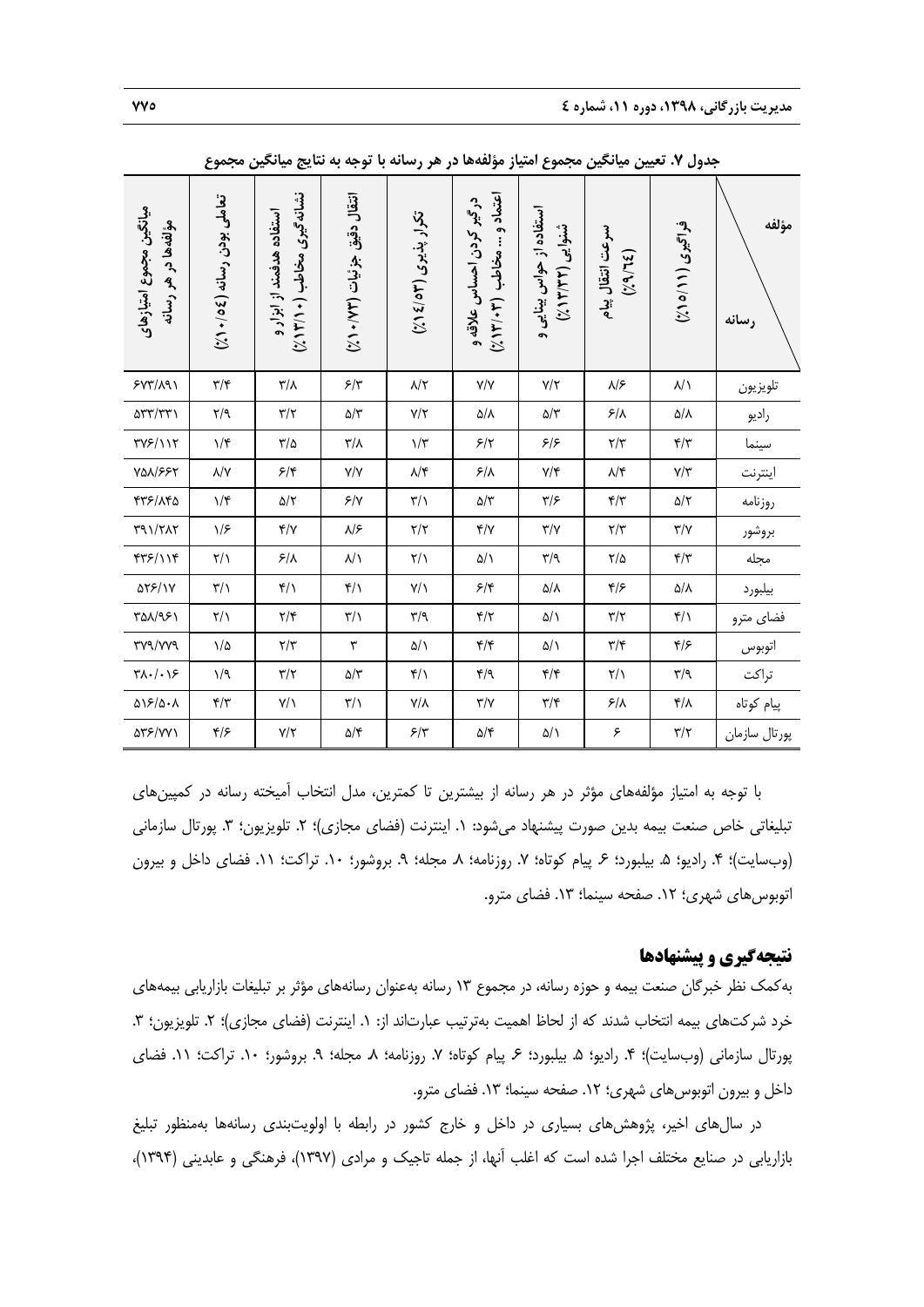| ميانگين مجموع امتيازهاي<br>مؤلفه ها در هر رسانه | تعاملي بودن رسانه (٤٥/٠/٤)  | نشانه گیری مخاطب (۱۲/۱۳)<br>استفاده هدفمند از ابزار و | انتقال دقيق جزئيات (٧٢/ ٥٠٪) | تکرار پذیری (۵۳/۱٤)                 | اعتماد و … مخاطب (۲۰۳٬۱۳/۰)<br>در گیر کردن احساس علاقه و | استفاده از حواس بینایی و<br>شنوایی<br>(214/4) | سرعت انتقال پیام<br>(31/6) | فراتیری (۱۱/۰۵)                   | مؤلفه<br>رسانه |
|-------------------------------------------------|-----------------------------|-------------------------------------------------------|------------------------------|-------------------------------------|----------------------------------------------------------|-----------------------------------------------|----------------------------|-----------------------------------|----------------|
| 5YY/A91                                         | $\mathbf{y}/\mathbf{k}$     | $\mathbf{r}/\mathbf{v}$                               | $5/\tau$                     | $\lambda/\zeta$                     | $\mathsf{Y}/\mathsf{Y}$                                  | $Y/\Upsilon$                                  | $\lambda$ /۶               | $\lambda/\lambda$                 | تلويزيون       |
| $\Delta \Upsilon \Upsilon / \Upsilon \Upsilon$  | $\zeta/\gamma$              | $\mathbf{Y}/\mathbf{Y}$                               | $\Delta/\Upsilon$            | $Y/\Upsilon$                        | $\Delta/\Lambda$                                         | $\Delta/\Upsilon$                             | $\mathcal{S}/\Lambda$      | $\Delta/\Lambda$                  | راديو          |
| $\Upsilon V$ ۶/۱۱۲                              | $\backslash/\mathfrak{r}$   | $\mathbf{r}/\mathbf{r}$                               | $\mathbf{r}/\mathbf{v}$      | $\backslash/\widetilde{\mathbf{y}}$ | 5/7                                                      | 5/5                                           | $\Upsilon/\Upsilon$        | $\mathbf{f}/\mathbf{f}'$          | سينما          |
| <b>YQA/۶۶۲</b>                                  | $\lambda/\Upsilon$          | 5/5                                                   | Y/Y                          | $\lambda/\mathfrak{f}$              | $5/\lambda$                                              | Y/Y                                           | $\lambda/\mathfrak{r}$     | $\mathsf{Y}/\mathsf{Y}$           | اينترنت        |
| 475/140                                         | $\mathcal{N}$               | $\Delta/\Upsilon$                                     | $5/\gamma$                   | $\sqrt{7}$                          | $\Delta/\tilde{\tau}$                                    | $\mathbf{y}/\mathbf{y}$                       | $\mathbf{f}/\mathbf{f}'$   | $\Delta/\Upsilon$                 | روزنامه        |
| $\Gamma$ 91/٢٨٢                                 | $\sqrt{2}$                  | Y/Y                                                   | $\lambda$ /۶                 | $\mathbf{Y}/\mathbf{Y}$             | Y/Y                                                      | $\Upsilon/\Upsilon$                           | $\mathbf{r}/\mathbf{r}$    | $\mathbf{Y}/\mathbf{Y}$           | بروشور         |
| 41/1/4                                          | $\mathsf{Y}/\mathsf{Y}$     | $5/\lambda$                                           | $\lambda/\lambda$            | $\mathsf{Y}/\mathsf{Y}$             | $\Delta/\lambda$                                         | $\mathbf{r}/\mathbf{q}$                       | $\frac{1}{2}$              | $\mathbf{r}/\mathbf{r}$           | مجله           |
| ۵۲۶/۱۷                                          | $\mathbf{r}/\mathbf{r}$     | $f/\lambda$                                           | $\mathfrak{f}/\mathfrak{f}$  | $Y/\lambda$                         | $\mathcal{F}/\mathfrak{f}$                               | $\Delta/\Lambda$                              | $\frac{1}{2}$              | $\Delta/\Lambda$                  | بيلبورد        |
| ٣۵٨/٩۶١                                         | $\frac{1}{2}$               | $\mathbf{Y}/\mathbf{Y}$                               | $\sqrt{7}$                   | $\mathbf{r}/\mathbf{q}$             | $\mathbf{r}/\mathbf{r}$                                  | $\Delta/\lambda$                              | $\Upsilon/\Upsilon$        | $\mathfrak{f}/\mathfrak{f}$       | فضاي مترو      |
| <b>٣٧٩/٧٧٩</b>                                  | $\frac{1}{2}$               | $\mathbf{Y}/\mathbf{Y}$                               | $\mathbf{\breve{v}}$         | $\Delta/\lambda$                    | $\mathfrak{f}/\mathfrak{f}$                              | $\Delta/\lambda$                              | $\mathbf{y}/\mathbf{k}$    | $\mathfrak{f}/\mathfrak{f}$       | اتوبوس         |
| $\forall \lambda \cdot / \cdot \lambda$ ۶       | 1/9                         | $\mathbf{r}/\mathbf{r}$                               | $\Delta/\Upsilon$            | $f/\lambda$                         | $\mathbf{f}/\mathbf{q}$                                  | $\mathfrak{f}/\mathfrak{f}$                   | $\frac{1}{\sqrt{2}}$       | $\mathbf{r}/\mathbf{q}$           | تراكت          |
| $\Delta S/\Delta \cdot \Lambda$                 | $\mathbf{f}/\mathbf{f}'$    | $Y/\lambda$                                           | $\mathbf{Y}/\mathbf{Y}$      | $Y/\lambda$                         | $\mathbf{Y}/\mathbf{Y}$                                  | $\mathbf{y}/\mathbf{y}$                       | $\mathcal{F}/\Lambda$      | $\mathfrak{r}/\mathfrak{\lambda}$ | پیام کوتاه     |
| ۵۳۶/۷۷۱                                         | $\mathfrak{r}/\mathfrak{r}$ | $Y/\Upsilon$                                          | $\Delta/\Upsilon$            | $5/\tau$                            | $\Delta/\mathfrak{r}$                                    | $\Delta/\lambda$                              | ۶                          | $\mathbf{Y}/\mathbf{Y}$           | پورتال سازمان  |

**جدول .7 تعيين ميانگين مجموع امتياز مؤلفهها در هر رسانه با توجه به نتايج ميانگين مجموع** 

با توجه به امتياز مؤلفههاي مؤثر در هر رسانه از بيشترين تا كمترين، مدل انتخاب آميخته رسانه در كمپينهاي تبليغاتي خاص صنعت بيمه بدين صورت پيشنهاد ميشود: ١. اينترنت (فضاي مجازي)؛ ٢. تلويزيون؛ ٣. پورتال سازماني (وبسايت)؛ ۴. راديو؛ ۵. بيلبورد؛ ۶. پيام كوتاه؛ ۷. روزنامه؛ ۸. مجله؛ ۹. بروشور؛ ۱۰. تراكت؛ ۱۱. فضاي داخل و بيرون اتوبوس هاي شهري؛ ١٢. صفحه سينما؛ ١٣. فضاي مترو.

### **نتيجهگيري و پيشنهادها**

بهكمك نظر خبرگان صنعت بيمه و حوزه رسانه، در مجموع 13 رسانه بهعنوان رسانههاي مؤثر بر تبليغات بازاريابي بيمههاي خرد شركتهاي بيمه انتخاب شدند كه از لحاظ اهميت بهترتيب عبارتاند از: ١. اينترنت (فضاي مجازي)؛ ٢. تلويزيون؛ ٣. پورتال سازماني (وبسايت)؛ ۴. راديو؛ ۵. بيلبورد؛ ۶. پيام كوتاه؛ ۷. روزنامه؛ ۸. مجله؛ ۹. بروشور؛ ۱۰. تراكت؛ ۱۱. فضاي داخل و بيرون اتوبوس هاي شهري؛ ١٢. صفحه سينما؛ ١٣. فضاي مترو.

در سالهاي اخير، پژوهشهاي بسياري در داخل و خارج كشور در رابطه با اولويتبندي رسانهها بهمنظور تبليغ بازاريابي در صنايع مختلف اجرا شده است كه اغلب آنها، از جمله تاجيك و مرادي (1397)، فرهنگي و عابديني (1394)،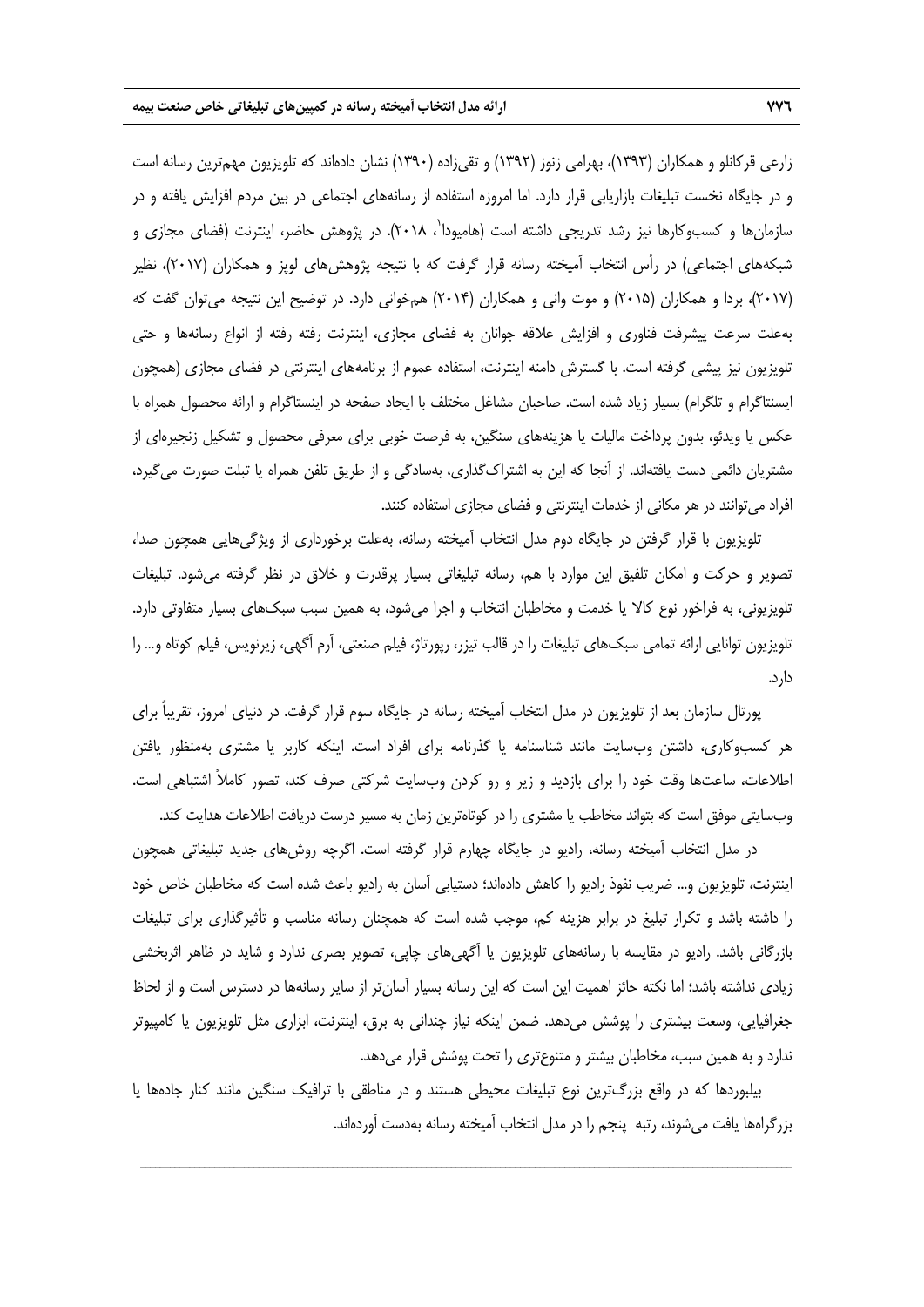زارعي قركانلو و همكاران (1393)، بهرامي زنوز (1392) و تقيزاده (1390) نشان دادهاند كه تلويزيون مهمترين رسانه است و در جايگاه نخست تبليغات بازاريابي قرار دارد. اما امروزه استفاده از رسانههاي اجتماعي در بين مردم افزايش يافته و در سازمانها و كسبوكارها نيز رشد تدريجى داشته است (هاميودا<sup>٬</sup> ۲۰۱۸). در پژوهش حاضر، اينترنت (فضاى مجازى و شبكههاي اجتماعي) در رأس انتخاب آميخته رسانه قرار گرفت كه با نتيجه پژوهشهاي لوپز و همكاران (2017)، نظير (2017)، بردا و همكاران (2015) و موت واني و همكاران (2014) همخواني دارد. در توضيح اين نتيجه ميتوان گفت كه بهعلت سرعت پيشرفت فناوري و افزايش علاقه جوانان به فضاي مجازي، اينترنت رفته رفته از انواع رسانهها و حتي تلويزيون نيز پيشي گرفته است. با گسترش دامنه اينترنت، استفاده عموم از برنامههاي اينترنتي در فضاي مجازي (همچون ايسنتاگرام و تلگرام) بسيار زياد شده است. صاحبان مشاغل مختلف با ايجاد صفحه در اينستاگرام و ارائه محصول همراه با عكس يا ويدئو، بدون پرداخت ماليات يا هزينههاي سنگين، به فرصت خوبي براي معرفي محصول و تشكيل زنجيرهاي از مشتريان دائمي دست يافتهاند. از آنجا كه اين به اشتراكگذاري، بهسادگي و از طريق تلفن همراه يا تبلت صورت ميگيرد، افراد ميتوانند در هر مكاني از خدمات اينترنتي و فضاي مجازي استفاده كنند.

تلويزيون با قرار گرفتن در جايگاه دوم مدل انتخاب آميخته رسانه، بهعلت برخورداري از ويژگيهايي همچون صدا، تصوير و حركت و امكان تلفيق اين موارد با هم، رسانه تبليغاتي بسيار پرقدرت و خلاق در نظر گرفته ميشود. تبليغات تلويزيوني، به فراخور نوع كالا يا خدمت و مخاطبان انتخاب و اجرا ميشود، به همين سبب سبكهاي بسيار متفاوتي دارد. تلويزيون توانايي ارائه تمامي سبكهاي تبليغات را در قالب تيزر، رپورتاژ، فيلم صنعتي، آرم آگهي، زيرنويس، فيلم كوتاه و... را دارد.

پورتال سازمان بعد از تلويزيون در مدل انتخاب آميخته رسانه در جايگاه سوم قرار گرفت. در دنياي امروز، تقريباً براي هر كسبوكاري، داشتن وبسايت مانند شناسنامه يا گذرنامه براي افراد است. اينكه كاربر يا مشتري بهمنظور يافتن اطلاعات، ساعتها وقت خود را براي بازديد و زير و رو كردن وبسايت شركتي صرف كند، تصور كاملاً اشتباهي است. وبسايتي موفق است كه بتواند مخاطب يا مشتري را در كوتاهترين زمان به مسير درست دريافت اطلاعات هدايت كند.

در مدل انتخاب آميخته رسانه، راديو در جايگاه چهارم قرار گرفته است. اگرچه روشهاي جديد تبليغاتي همچون اينترنت، تلويزيون و... ضريب نفوذ راديو را كاهش دادهاند؛ دستيابي آسان به راديو باعث شده است كه مخاطبان خاص خود را داشته باشد و تكرار تبليغ در برابر هزينه كم، موجب شده است كه همچنان رسانه مناسب و تأثيرگذاري براي تبليغات بازرگاني باشد. راديو در مقايسه با رسانههاي تلويزيون يا آگهيهاي چاپي، تصوير بصري ندارد و شايد در ظاهر اثربخشي زيادي نداشته باشد؛ اما نكته حائز اهميت اين است كه اين رسانه بسيار آسانتر از ساير رسانهها در دسترس است و از لحاظ جغرافيايي، وسعت بيشتري را پوشش ميدهد. ضمن اينكه نياز چنداني به برق، اينترنت، ابزاري مثل تلويزيون يا كامپيوتر ندارد و به همين سبب، مخاطبان بيشتر و متنوعتري را تحت پوشش قرار ميدهد.

بيلبوردها كه در واقع بزرگترين نوع تبليغات محيطي هستند و در مناطقي با ترافيك سنگين مانند كنار جادهها يا بزرگراهها يافت ميشوند، رتبه پنجم را در مدل انتخاب آميخته رسانه بهدست آوردهاند.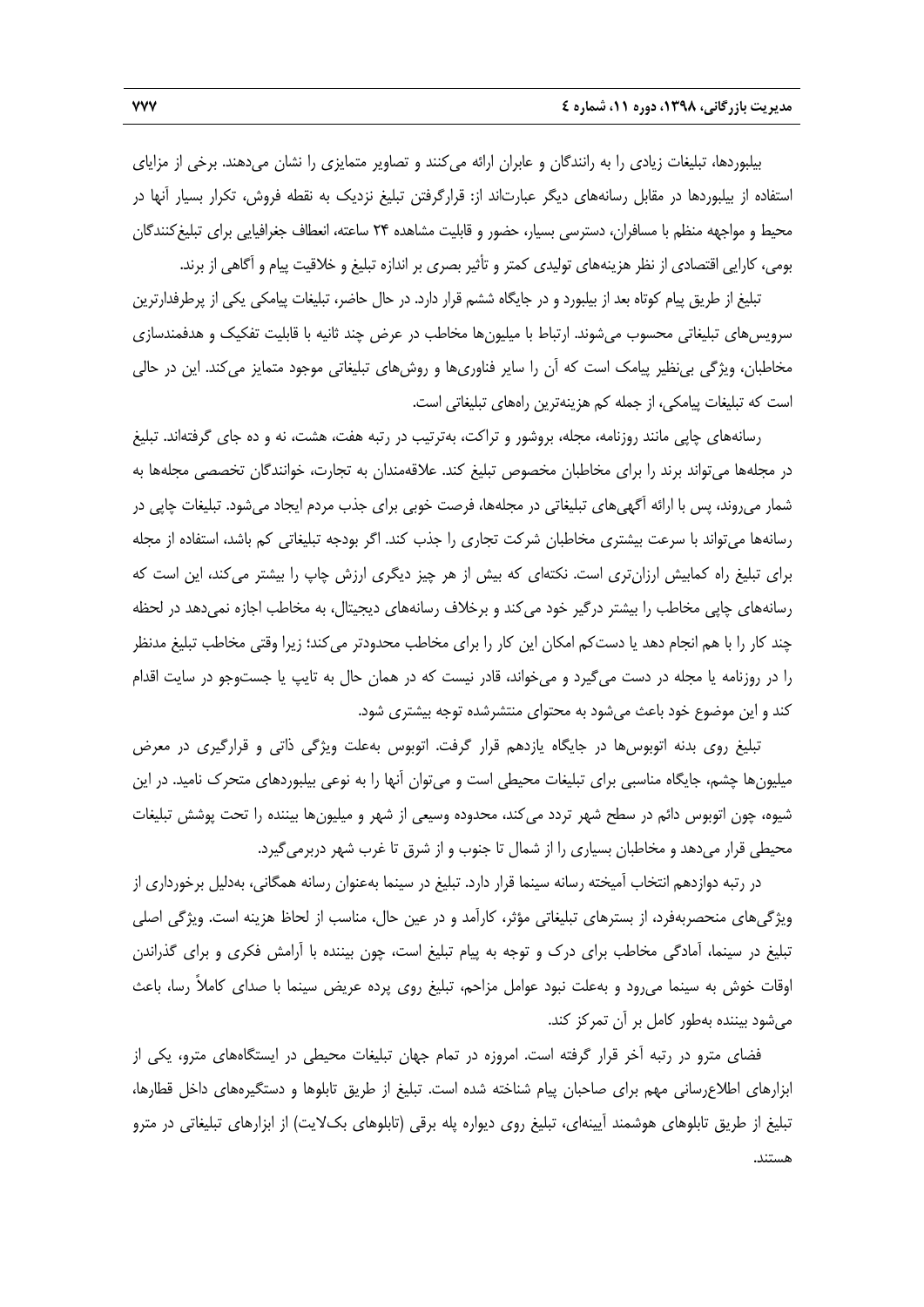بيلبوردها، تبليغات زيادي را به رانندگان و عابران ارائه ميكنند و تصاوير متمايزي را نشان ميدهند. برخي از مزاياي استفاده از بيلبوردها در مقابل رسانههاي ديگر عبارتاند از: قرارگرفتن تبليغ نزديك به نقطه فروش، تكرار بسيار آنها در محيط و مواجهه منظم با مسافران، دسترسي بسيار، حضور و قابليت مشاهده 24 ساعته، انعطاف جغرافيايي براي تبليغكنندگان بومي، كارايي اقتصادي از نظر هزينههاي توليدي كمتر و تأثير بصري بر اندازه تبليغ و خلاقيت پيام و آگاهي از برند.

تبليغ از طريق پيام كوتاه بعد از بيلبورد و در جايگاه ششم قرار دارد. در حال حاضر، تبليغات پيامكي يكي از پرطرفدارترين سرويسهاي تبليغاتي محسوب ميشوند. ارتباط با ميليونها مخاطب در عرض چند ثانيه با قابليت تفكيك و هدفمندسازي مخاطبان، ويژگي بينظير پيامك است كه آن را ساير فناوريها و روشهاي تبليغاتي موجود متمايز ميكند. اين در حالي است كه تبليغات پيامكي، از جمله كم هزينهترين راههاي تبليغاتي است.

رسانههاي چاپي مانند روزنامه، مجله، بروشور و تراكت، بهترتيب در رتبه هفت، هشت، نه و ده جاي گرفتهاند. تبليغ در مجلهها ميتواند برند را براي مخاطبان مخصوص تبليغ كند. علاقهمندان به تجارت، خوانندگان تخصصي مجلهها به شمار ميروند، پس با ارائه آگهيهاي تبليغاتي در مجلهها، فرصت خوبي براي جذب مردم ايجاد ميشود. تبليغات چاپي در رسانهها ميتواند با سرعت بيشتري مخاطبان شركت تجاري را جذب كند. اگر بودجه تبليغاتي كم باشد، استفاده از مجله براي تبليغ راه كمابيش ارزانتري است. نكتهاي كه بيش از هر چيز ديگري ارزش چاپ را بيشتر ميكند، اين است كه رسانههاي چاپي مخاطب را بيشتر درگير خود ميكند و برخلاف رسانههاي ديجيتال، به مخاطب اجازه نميدهد در لحظه چند كار را با هم انجام دهد يا دستكم امكان اين كار را براي مخاطب محدودتر ميكند؛ زيرا وقتي مخاطب تبليغ مدنظر را در روزنامه يا مجله در دست ميگيرد و ميخواند، قادر نيست كه در همان حال به تايپ يا جستوجو در سايت اقدام كند و اين موضوع خود باعث ميشود به محتواي منتشرشده توجه بيشتري شود.

تبليغ روي بدنه اتوبوسها در جايگاه يازدهم قرار گرفت. اتوبوس بهعلت ويژگي ذاتي و قرارگيري در معرض ميليونها چشم، جايگاه مناسبي براي تبليغات محيطي است و ميتوان آنها را به نوعي بيلبوردهاي متحرك ناميد. در اين شيوه، چون اتوبوس دائم در سطح شهر تردد ميكند، محدوده وسيعي از شهر و ميليونها بيننده را تحت پوشش تبليغات محيطي قرار ميدهد و مخاطبان بسياري را از شمال تا جنوب و از شرق تا غرب شهر دربرميگيرد.

در رتبه دوازدهم انتخاب آميخته رسانه سينما قرار دارد. تبليغ در سينما بهعنوان رسانه همگاني، بهدليل برخورداري از ويژگيهاي منحصربهفرد، از بسترهاي تبليغاتي مؤثر، كارآمد و در عين حال، مناسب از لحاظ هزينه است. ويژگي اصلي تبليغ در سينما، آمادگي مخاطب براي درك و توجه به پيام تبليغ است، چون بيننده با آرامش فكري و براي گذراندن اوقات خوش به سينما ميرود و بهعلت نبود عوامل مزاحم، تبليغ روي پرده عريض سينما با صداي كاملاً رسا، باعث ميشود بيننده بهطور كامل بر آن تمركز كند.

فضاي مترو در رتبه آخر قرار گرفته است. امروزه در تمام جهان تبليغات محيطي در ايستگاههاي مترو، يكي از ابزارهاي اطلاعرساني مهم براي صاحبان پيام شناخته شده است. تبليغ از طريق تابلوها و دستگيرههاي داخل قطارها، تبليغ از طريق تابلوهاي هوشمند آيينهاي، تبليغ روي ديواره پله برقي (تابلوهاي بكلايت) از ابزارهاي تبليغاتي در مترو هستند.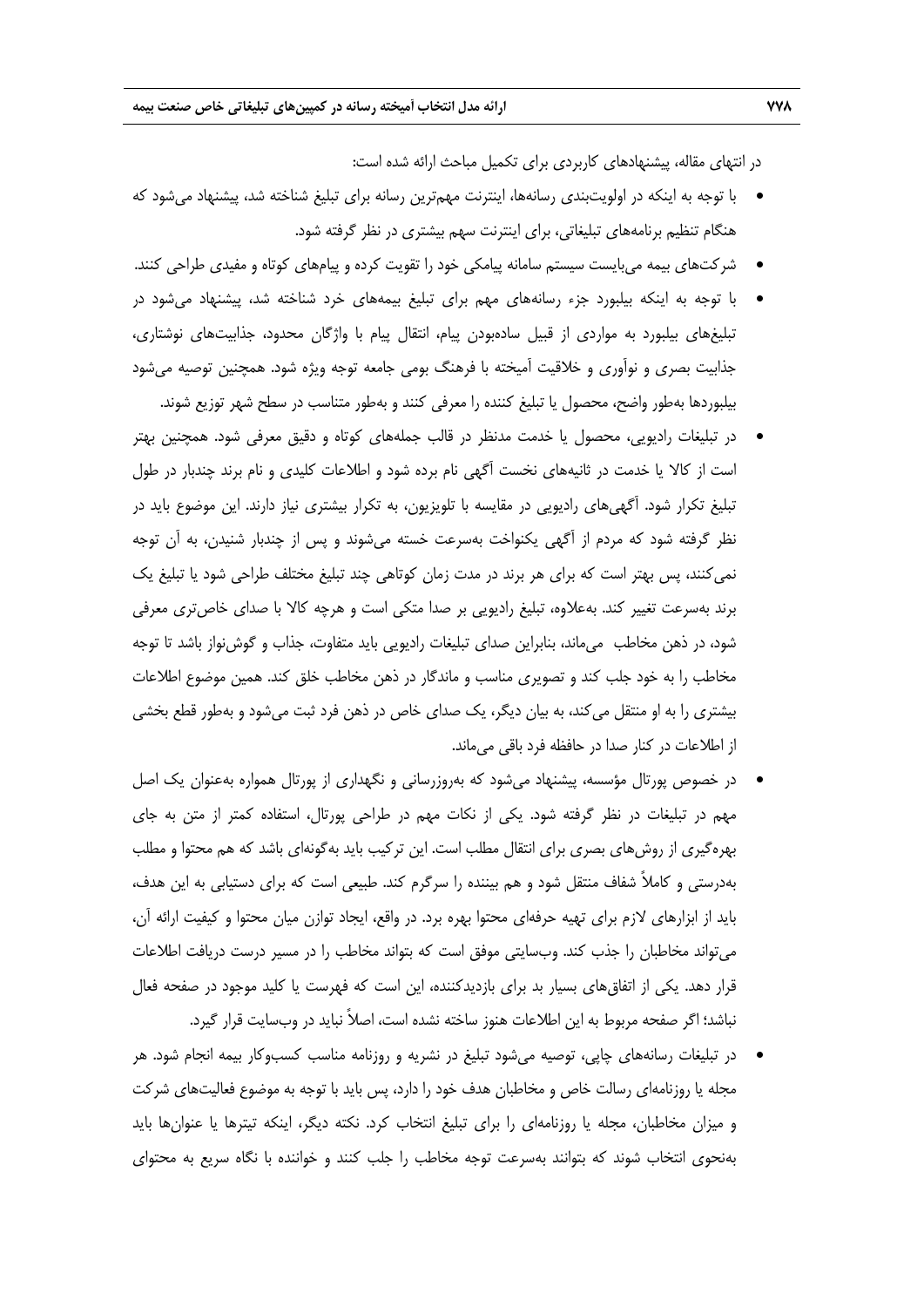در انتهاي مقاله، پيشنهادهاي كاربردي براي تكميل مباحث ارائه شده است:

- با توجه به اينكه در اولويتبندي رسانهها، اينترنت مهمترين رسانه براي تبليغ شناخته شد، پيشنهاد ميشود كه هنگام تنظيم برنامههاي تبليغاتي، براي اينترنت سهم بيشتري در نظر گرفته شود.
- شركتهاي بيمه ميبايست سيستم سامانه پيامكي خود را تقويت كرده و پيامهاي كوتاه و مفيدي طراحي كنند.
- با توجه به اينكه بيلبورد جزء رسانههاي مهم براي تبليغ بيمههاي خرد شناخته شد، پيشنهاد ميشود در تبليغهاي بيلبورد به مواردي از قبيل سادهبودن پيام، انتقال پيام با واژگان محدود، جذابيتهاي نوشتاري، جذابيت بصري و نوآوري و خلاقيت آميخته با فرهنگ بومي جامعه توجه ويژه شود. همچنين توصيه ميشود بيلبوردها بهطور واضح، محصول يا تبليغ كننده را معرفي كنند و بهطور متناسب در سطح شهر توزيع شوند.
- در تبليغات راديويي، محصول يا خدمت مدنظر در قالب جملههاي كوتاه و دقيق معرفي شود. همچنين بهتر است از كالا يا خدمت در ثانيههاي نخست آگهي نام برده شود و اطلاعات كليدي و نام برند چندبار در طول تبليغ تكرار شود. آگهيهاي راديويي در مقايسه با تلويزيون، به تكرار بيشتري نياز دارند. اين موضوع بايد در نظر گرفته شود كه مردم از آگهي يكنواخت بهسرعت خسته ميشوند و پس از چندبار شنيدن، به آن توجه نميكنند، پس بهتر است كه براي هر برند در مدت زمان كوتاهي چند تبليغ مختلف طراحي شود يا تبليغ يك برند بهسرعت تغيير كند. بهعلاوه، تبليغ راديويي بر صدا متكي است و هرچه كالا با صداي خاصتري معرفي شود، در ذهن مخاطب ميماند، بنابراين صداي تبليغات راديويي بايد متفاوت، جذاب و گوشنواز باشد تا توجه مخاطب را به خود جلب كند و تصويري مناسب و ماندگار در ذهن مخاطب خلق كند. همين موضوع اطلاعات بيشتري را به او منتقل ميكند، به بيان ديگر، يك صداي خاص در ذهن فرد ثبت ميشود و بهطور قطع بخشي از اطلاعات در كنار صدا در حافظه فرد باقي ميماند.
- در خصوص پورتال مؤسسه، پيشنهاد ميشود كه بهروزرساني و نگهداري از پورتال همواره بهعنوان يك اصل مهم در تبليغات در نظر گرفته شود. يكي از نكات مهم در طراحي پورتال، استفاده كمتر از متن به جاي بهرهگيري از روشهاي بصري براي انتقال مطلب است. اين تركيب بايد بهگونهاي باشد كه هم محتوا و مطلب بهدرستي و كاملاً شفاف منتقل شود و هم بيننده را سرگرم كند. طبيعي است كه براي دستيابي به اين هدف، بايد از ابزارهاي لازم براي تهيه حرفهاي محتوا بهره برد. در واقع، ايجاد توازن ميان محتوا و كيفيت ارائه آن، ميتواند مخاطبان را جذب كند. وبسايتي موفق است كه بتواند مخاطب را در مسير درست دريافت اطلاعات قرار دهد. يكي از اتفاقهاي بسيار بد براي بازديدكننده، اين است كه فهرست يا كليد موجود در صفحه فعال نباشد؛ اگر صفحه مربوط به اين اطلاعات هنوز ساخته نشده است، اصلاً نبايد در وبسايت قرار گيرد.
- در تبليغات رسانههاي چاپي، توصيه ميشود تبليغ در نشريه و روزنامه مناسب كسبوكار بيمه انجام شود. هر مجله يا روزنامهاي رسالت خاص و مخاطبان هدف خود را دارد، پس بايد با توجه به موضوع فعاليتهاي شركت و ميزان مخاطبان، مجله يا روزنامهاي را براي تبليغ انتخاب كرد. نكته ديگر، اينكه تيترها يا عنوانها بايد بهنحوي انتخاب شوند كه بتوانند بهسرعت توجه مخاطب را جلب كنند و خواننده با نگاه سريع به محتواي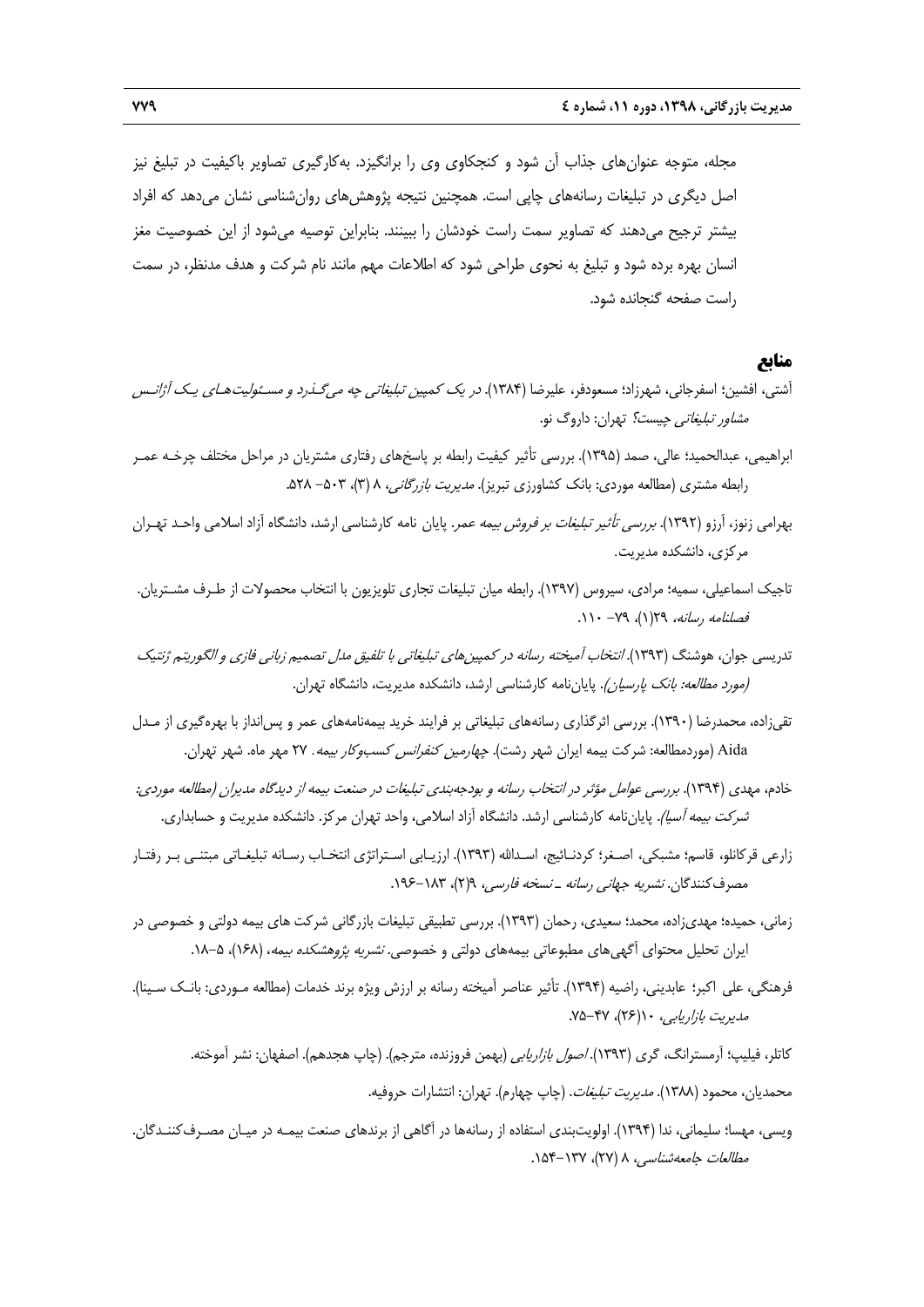مجله، متوجه عنوانهاي جذاب آن شود و كنجكاوي وي را برانگيزد. بهكارگيري تصاوير باكيفيت در تبليغ نيز اصل ديگري در تبليغات رسانههاي چاپي است. همچنين نتيجه پژوهشهاي روانشناسي نشان ميدهد كه افراد بيشتر ترجيح ميدهند كه تصاوير سمت راست خودشان را ببينند. بنابراين توصيه ميشود از اين خصوصيت مغز انسان بهره برده شود و تبليغ به نحوي طراحي شود كه اطلاعات مهم مانند نام شركت و هدف مدنظر، در سمت راست صفحه گنجانده شود.

# **منابع**

- آشتي، افشين؛ اسفرجاني، شهرزاد؛ مسعودفر، عليرضا (1384). در يك كمپين تبليغاتي چه ميگـذرد <sup>و</sup> مسـئوليتهـاي يـك آژانـس مشاور تبليغاتي چيست؟ تهران: داروگ نو.
- ابراهيمي، عبدالحميد؛ عالي، صمد (1395). بررسي تأثير كيفيت رابطه بر پاسخهاي رفتاري مشتريان در مراحل مختلف چرخـه عمـر رابطه مشتري (مطالعه موردي: بانک کشاورزي تبريز). *مديريت بازرگاني، ٨ (*٣)، ۵۰۳– ۵۲۸.
- بهرامي زنوز، آرزو (١٣٩٢). *بررسي تأثير تبليغات بر فروش بيمه عمر*. پايان نامه كارشناسي ارشد، دانشگاه آزاد اسلامي واحـد تهـران مركزي، دانشكده مديريت.
- تاجيك اسماعيلي، سميه؛ مرادي، سيروس (1397). رابطه ميان تبليغات تجاري تلويزيون با انتخاب محصولات از طـرف مشـتريان. فصلنامه رسانه، 29(1)، -79 .110
- تدريسي جوان، هوشنگ (۱۳۹۳). *انتخاب آميخته رسانه در كمپين هاي تبليغاتي با تلفيق مدل تصميم زباني فازي و الگوريتم ژنتيک* (مورد مطالعه: بانك پارسيان). پاياننامه كارشناسي ارشد، دانشكده مديريت، دانشگاه تهران.
- تقيزاده، محمدرضا (1390). بررسي اثرگذاري رسانههاي تبليغاتي بر فرايند خريد بيمهنامههاي عمر و پسانداز با بهرهگيري از مـدل Aida (موردمطالعه: شركت بيمه ايران شهر رشت). *چهارمين كنفرانس كسبوكار بيمه*. ٢٧ مهر ماه. شهر تهران.
- خادم، مهدي (1394). بررسي عوامل مؤثر در انتخاب رسانه <sup>و</sup> بودجهبندي تبليغات در صنعت بيمه از ديدگاه مديران (مطالعه موردي: شركت بيمه آسيا). پاياننامه كارشناسي ارشد. دانشگاه آزاد اسلامي، واحد تهران مركز. دانشكده مديريت و حسابداري.
- زارعي قركانلو، قاسم؛ مشبكي، اصـغر؛ كردنـائيج، اسـداالله (1393). ارزيـابي اسـتراتژي انتخـاب رسـانه تبليغـاتي مبتنـي بـر رفتـار مصرف كنندگان. *نشريه جهاني رسانه ـ نسخه فارسي، ٩(٢)، ١٨٣-١٩۶.*
- زماني، حميده؛ مهديزاده، محمد؛ سعيدي، رحمان (1393). بررسي تطبيقي تبليغات بازرگاني شركت هاي بيمه دولتي و خصوصي در ايران تحليل محتواي آگهي،اي مطبوعاتي بيمههاي دولتي و خصوصي. *نشريه پژوهشكده بيمه*، (١۶۸)، ۵-١٨.
- فرهنگي، علي اكبر؛ عابديني، راضيه (1394). تأثير عناصر آميخته رسانه بر ارزش ويژه برند خدمات (مطالعه مـوردي: بانـك سـينا). مديريت بازاريابي، ١٠(٢۶)، ٢٧-٧۵.
	- كاتلر، فيليپ؛ آرمسترانگ، گري (1393). اصول بازاريابي (بهمن فروزنده، مترجم). (چاپ هجدهم). اصفهان: نشر آموخته.
		- محمديان، محمود (1388). مديريت تبليغات. (چاپ چهارم). تهران: انتشارات حروفيه.
- ويسي، مهسا؛ سليماني، ندا (1394). اولويتبندي استفاده از رسانهها در آگاهي از برندهاي صنعت بيمـه در ميـان مصـرفكننـدگان. مطالعات جامعه شناسي، ٨ (٢٧)، ١٥٣-١٥۴.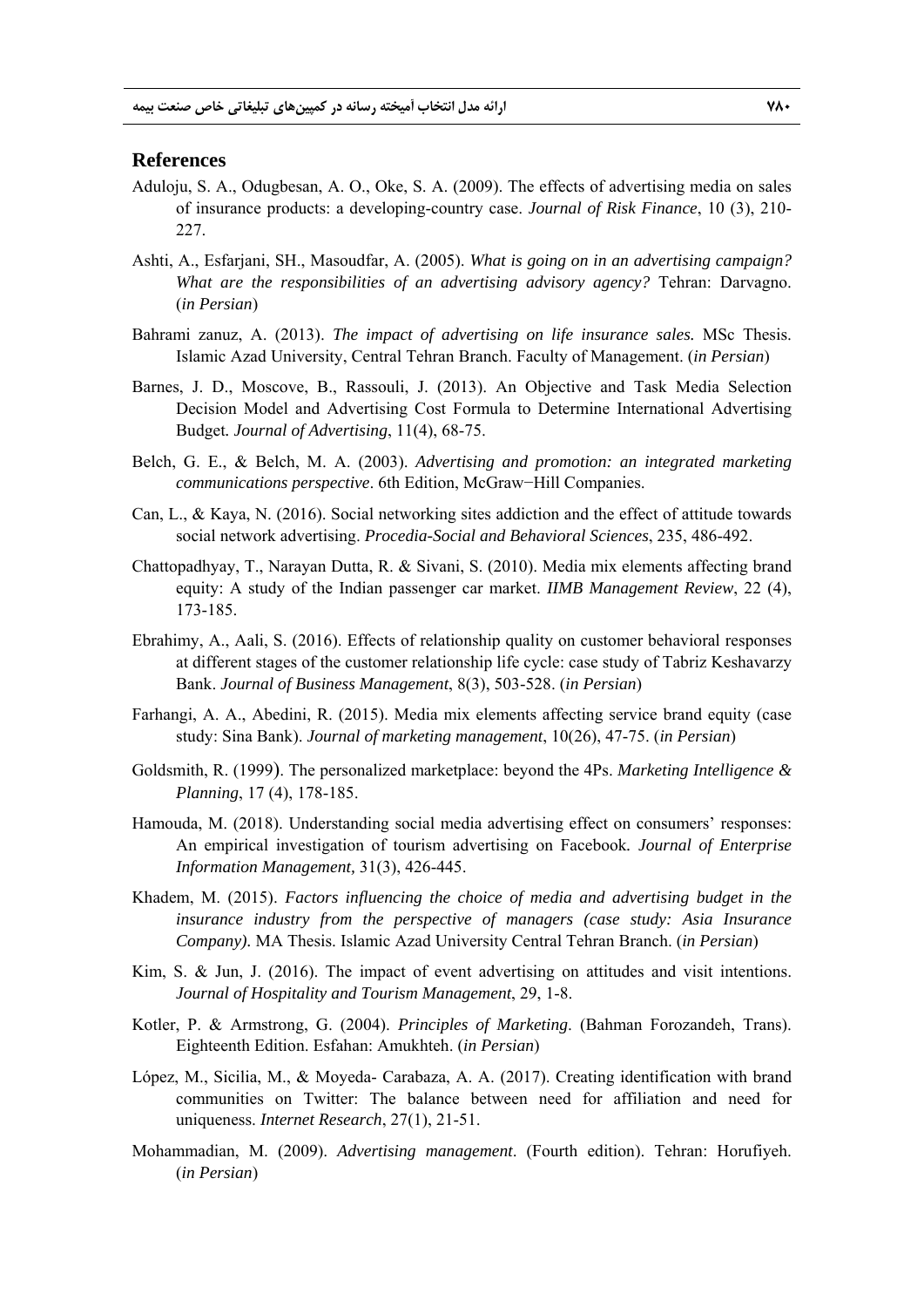## **References**

- Aduloju, S. A., Odugbesan, A. O., Oke, S. A. (2009). The effects of advertising media on sales of insurance products: a developing-country case. *Journal of Risk Finance*, 10 (3), 210- 227.
- Ashti, A., Esfarjani, SH., Masoudfar, A. (2005). *What is going on in an advertising campaign? What are the responsibilities of an advertising advisory agency?* Tehran: Darvagno. (*in Persian*)
- Bahrami zanuz, A. (2013). *The impact of advertising on life insurance sales.* MSc Thesis. Islamic Azad University, Central Tehran Branch. Faculty of Management. (*in Persian*)
- Barnes, J. D., Moscove, B., Rassouli, J. (2013). An Objective and Task Media Selection Decision Model and Advertising Cost Formula to Determine International Advertising Budget*. Journal of Advertising*, 11(4), 68-75.
- Belch, G. E., & Belch, M. A. (2003). *Advertising and promotion: an integrated marketing communications perspective*. 6th Edition, McGraw−Hill Companies.
- Can, L., & Kaya, N. (2016). Social networking sites addiction and the effect of attitude towards social network advertising. *Procedia-Social and Behavioral Sciences*, 235, 486-492.
- Chattopadhyay, T., Narayan Dutta, R. & Sivani, S. (2010). Media mix elements affecting brand equity: A study of the Indian passenger car market. *IIMB Management Review*, 22 (4), 173-185.
- Ebrahimy, A., Aali, S. (2016). Effects of relationship quality on customer behavioral responses at different stages of the customer relationship life cycle: case study of Tabriz Keshavarzy Bank. *Journal of Business Management*, 8(3), 503-528. (*in Persian*)
- Farhangi, A. A., Abedini, R. (2015). Media mix elements affecting service brand equity (case study: Sina Bank). *Journal of marketing management*, 10(26), 47-75. (*in Persian*)
- Goldsmith, R. (1999). The personalized marketplace: beyond the 4Ps. *Marketing Intelligence & Planning*, 17 (4), 178-185.
- Hamouda, M. (2018). Understanding social media advertising effect on consumers' responses: An empirical investigation of tourism advertising on Facebook*. Journal of Enterprise Information Management,* 31(3), 426-445.
- Khadem, M. (2015). *Factors influencing the choice of media and advertising budget in the insurance industry from the perspective of managers (case study: Asia Insurance Company).* MA Thesis. Islamic Azad University Central Tehran Branch. (*in Persian*)
- Kim, S. & Jun, J. (2016). The impact of event advertising on attitudes and visit intentions. *Journal of Hospitality and Tourism Management*, 29, 1-8.
- Kotler, P. & Armstrong, G. (2004). *Principles of Marketing*. (Bahman Forozandeh, Trans). Eighteenth Edition. Esfahan: Amukhteh. (*in Persian*)
- López, M., Sicilia, M., & Moyeda- Carabaza, A. A. (2017). Creating identification with brand communities on Twitter: The balance between need for affiliation and need for uniqueness. *Internet Research*, 27(1), 21-51.
- Mohammadian, M. (2009). *Advertising management*. (Fourth edition). Tehran: Horufiyeh. (*in Persian*)